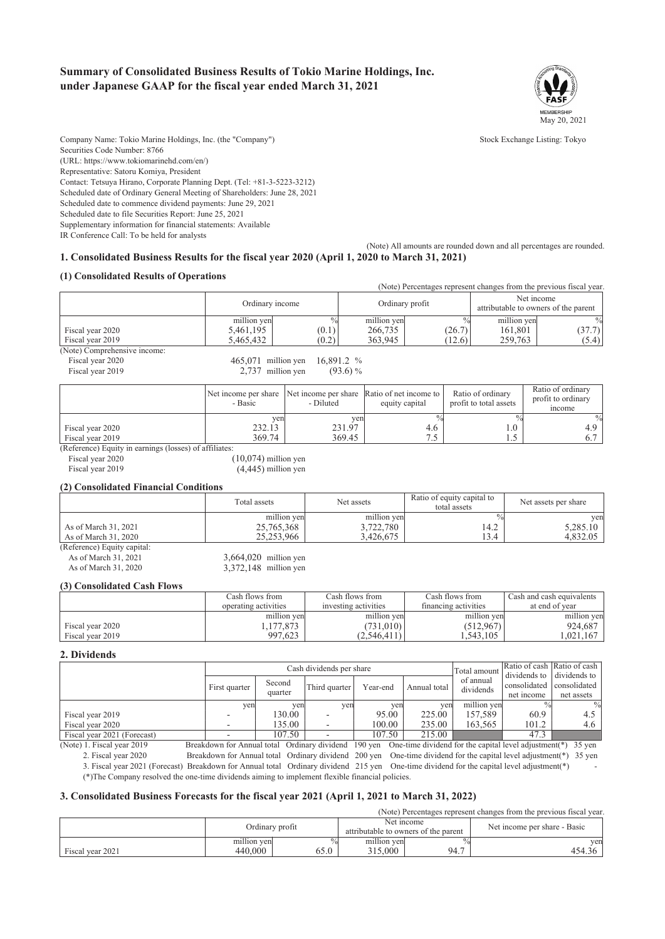### **Summary of Consolidated Business Results of Tokio Marine Holdings, Inc. under Japanese GAAP for the fiscal year ended March 31, 2021**



Company Name: Tokio Marine Holdings, Inc. (the "Company") Stock Exchange Listing: Tokyo Securities Code Number: 8766 (URL: https://www.tokiomarinehd.com/en/) Representative: Satoru Komiya, President Contact: Tetsuya Hirano, Corporate Planning Dept. (Tel: +81-3-5223-3212) Scheduled date of Ordinary General Meeting of Shareholders: June 28, 2021 Scheduled date to commence dividend payments: June 29, 2021 Scheduled date to file Securities Report: June 25, 2021 Supplementary information for financial statements: Available

IR Conference Call: To be held for analysts

(Note) All amounts are rounded down and all percentages are rounded. **1. Consolidated Business Results for the fiscal year 2020 (April 1, 2020 to March 31, 2021)**

#### **(1) Consolidated Results of Operations**

|                              |                                |       |                 |        |             | (Note) Percentages represent changes from the previous fiscal year. |  |
|------------------------------|--------------------------------|-------|-----------------|--------|-------------|---------------------------------------------------------------------|--|
|                              | Ordinary income                |       | Ordinary profit |        |             | Net income<br>attributable to owners of the parent                  |  |
|                              | million yen                    |       | million yen     |        | million yen | $\frac{0}{0}$                                                       |  |
| Fiscal year 2020             | 5.461.195                      | (0.1) | 266,735         | (26.7) | 161.801     | (37.7)                                                              |  |
| Fiscal year 2019             | 5,465,432                      | (0.2) | 363,945         | (12.6) | 259.763     | (5.4)                                                               |  |
| (Note) Comprehensive income: |                                |       |                 |        |             |                                                                     |  |
| Fiscal year 2020             | 465,071 million yen 16,891.2 % |       |                 |        |             |                                                                     |  |

Fiscal year 2019 2,737 million yen (93.6) %

|                  | Net income per share Net income per share Ratio of net income to<br>- Basic | - Diluted | equity capital | Ratio of ordinary<br>profit to total assets | Ratio of ordinary<br>profit to ordinary<br>income |
|------------------|-----------------------------------------------------------------------------|-----------|----------------|---------------------------------------------|---------------------------------------------------|
|                  | yen                                                                         | ven       |                |                                             | $\%$                                              |
| Fiscal year 2020 | 232.13                                                                      | 231.97    | 4.0            | 1.0                                         | 4.9                                               |
| Fiscal year 2019 | 369.74                                                                      | 369.45    |                | ر. 1                                        |                                                   |

(Reference) Equity in earnings (losses) of affiliates:

Fiscal year 2020 (10,074) million yen<br>Fiscal year 2019 (4.445) million yen

# $(4,445)$  million yen

#### **(2) Consolidated Financial Conditions**

|                             | Total assets | Net assets  | Ratio of equity capital to<br>total assets | Net assets per share |
|-----------------------------|--------------|-------------|--------------------------------------------|----------------------|
|                             | million yen  | million yen |                                            | ven                  |
| As of March 31, 2021        | 25,765,368   | 3,722,780   | 14.2                                       | 5,285.10             |
| As of March 31, 2020        | 25.253.966   | 3.426.675   | 13.4                                       | 4.832.05             |
| (Reference) Equity capital: |              |             |                                            |                      |

As of March  $31, 2021$   $3,664,020$  million yen

As of March 31, 2020 3,372,148 million yen

#### **(3) Consolidated Cash Flows**

|                                      | Cash flows from                    | Cash flows from                         | Cash flows from                      | Cash and cash equivalents          |
|--------------------------------------|------------------------------------|-----------------------------------------|--------------------------------------|------------------------------------|
|                                      | operating activities               | investing activities                    | financing activities                 | at end of year                     |
| Fiscal year 2020<br>Fiscal year 2019 | million ven<br>.177.873<br>997.623 | million yen<br>(731.010)<br>(2.546.411) | million yen<br>(512,967)<br>.543.105 | million yen<br>924.687<br>.021.167 |

#### **2. Dividends**

|                                                     |               |             | Cash dividends per share |          |              | Total amount           |                              | Ratio of cash Ratio of cash  |
|-----------------------------------------------------|---------------|-------------|--------------------------|----------|--------------|------------------------|------------------------------|------------------------------|
|                                                     | First quarter | Second      | Third quarter            | Year-end | Annual total | of annual<br>dividends | dividends to<br>consolidated | dividends to<br>consolidated |
|                                                     |               | quarter     |                          |          |              |                        | net income                   | net assets                   |
|                                                     | ven           | ven         | ven                      | yen      | yen          | million yen            |                              | $\frac{0}{0}$                |
| Fiscal year 2019                                    |               | 130.00      |                          | 95.00    | 225.00       | 157.589                | 60.9                         | 4.5                          |
| Fiscal year 2020                                    |               | 135.00      |                          | 100.00   | 235.00       | 163.565                | 101.2                        | 4.6                          |
| Fiscal year 2021 (Forecast)<br>$\sim$ $\sim$ $\sim$ |               | 107.50<br>. |                          | 107.50   | 215.00       | .                      | 47.3<br>.                    |                              |

(Note) 1. Fiscal year 2019 Breakdown for Annual total Ordinary dividend 190 yen One-time dividend for the capital level adjustment(\*) 35 yen 2. Fiscal year 2020 Breakdown for Annual total Ordinary dividend 200 yen One-time dividend for the capital level adjustment(\*) 35 yen 3. Fiscal year 2021 (Forecast) Breakdown for Annual total Ordinary dividend 215 yen One-time dividend for the capital level adjustment(\*) -

(\*)The Company resolved the one-time dividends aiming to implement flexible financial policies.

#### **3. Consolidated Business Forecasts for the fiscal year 2021 (April 1, 2021 to March 31, 2022)**

(Note) Percentages represent changes from the previous fiscal year.

|                  | Ordinary profit            |      |                            | Net income<br>attributable to owners of the parent | Net income per share - Basic |
|------------------|----------------------------|------|----------------------------|----------------------------------------------------|------------------------------|
| Fiscal year 2021 | <br>million yen<br>440,000 | 00.U | <br>million yen<br>315,000 | <u>_</u><br>94<br>.                                | ven                          |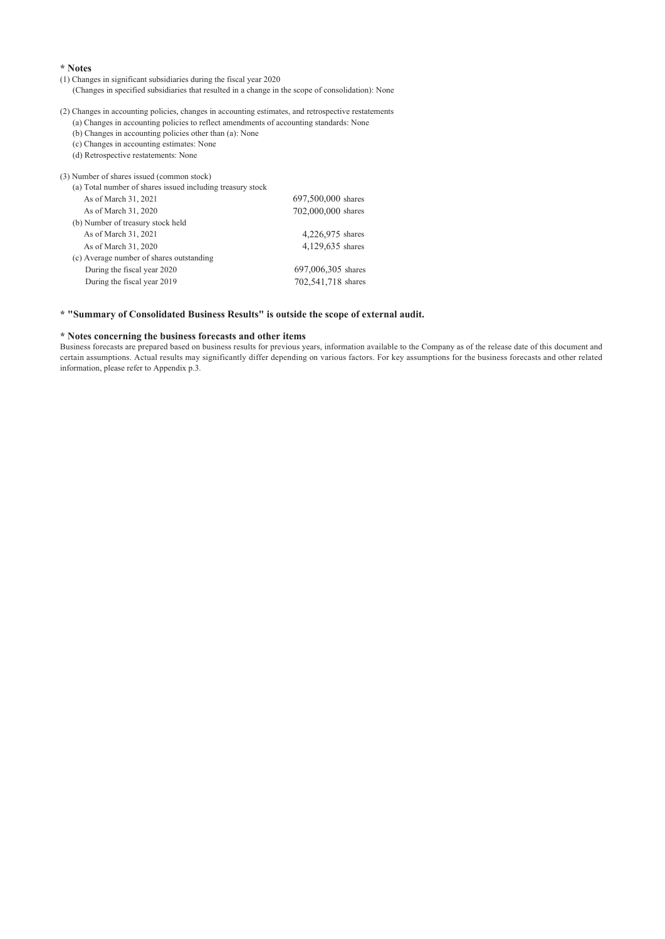#### **\* Notes**

### (1) Changes in significant subsidiaries during the fiscal year 2020

(Changes in specified subsidiaries that resulted in a change in the scope of consolidation): None

(2) Changes in accounting policies, changes in accounting estimates, and retrospective restatements (a) Changes in accounting policies to reflect amendments of accounting standards: None

- (b) Changes in accounting policies other than (a): None
- (c) Changes in accounting estimates: None
- (d) Retrospective restatements: None

| (3) Number of shares issued (common stock)                 |                    |
|------------------------------------------------------------|--------------------|
| (a) Total number of shares issued including treasury stock |                    |
| As of March 31, 2021                                       | 697,500,000 shares |
| As of March 31, 2020                                       | 702,000,000 shares |
| (b) Number of treasury stock held                          |                    |
| As of March 31, 2021                                       | 4,226,975 shares   |
| As of March 31, 2020                                       | 4,129,635 shares   |
| (c) Average number of shares outstanding                   |                    |
| During the fiscal year 2020                                | 697,006,305 shares |
| During the fiscal year 2019                                | 702,541,718 shares |
|                                                            |                    |

### **\* "Summary of Consolidated Business Results" is outside the scope of external audit.**

### **\* Notes concerning the business forecasts and other items**

Business forecasts are prepared based on business results for previous years, information available to the Company as of the release date of this document and certain assumptions. Actual results may significantly differ depending on various factors. For key assumptions for the business forecasts and other related information, please refer to Appendix p.3.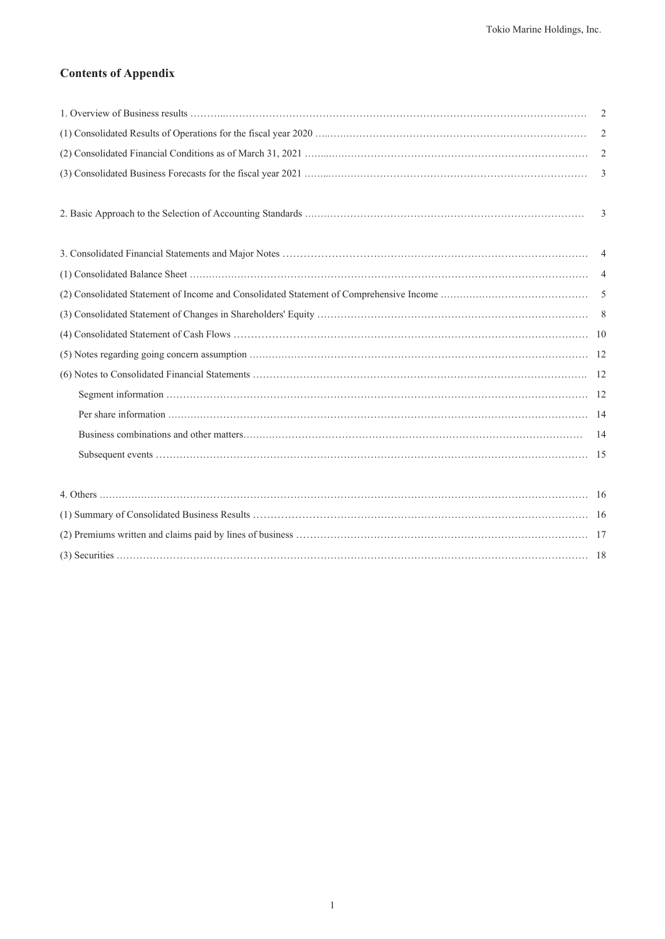# **Contents of Appendix**

| $\overline{2}$ |
|----------------|
| 2              |
| 2              |
| $\overline{3}$ |
|                |
| 3              |
|                |
|                |
|                |
|                |
|                |
|                |
|                |
|                |
|                |
|                |
|                |
|                |
|                |
|                |
|                |
|                |
|                |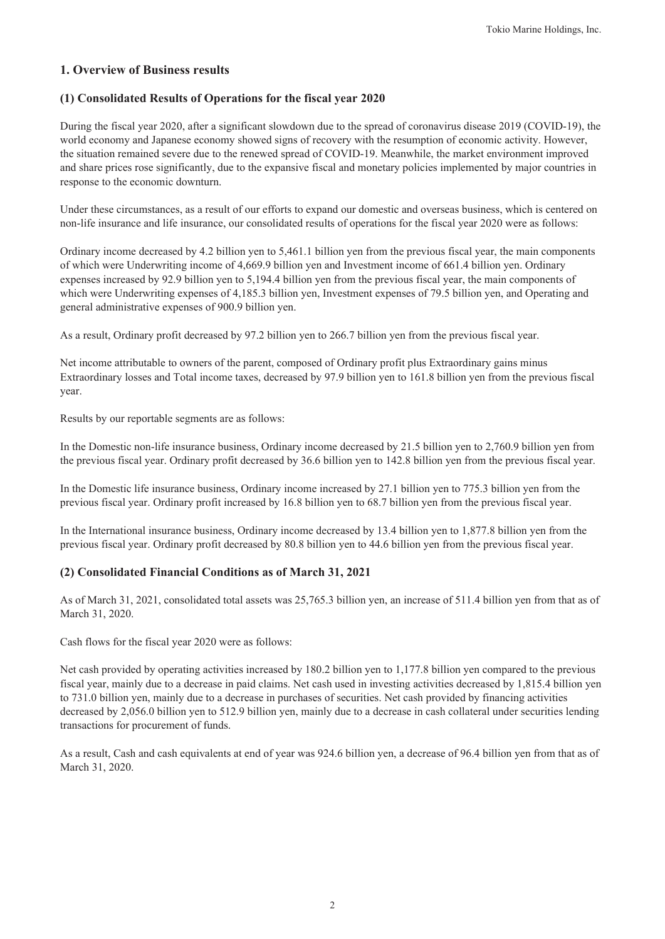## **1. Overview of Business results**

### **(1) Consolidated Results of Operations for the fiscal year 2020**

During the fiscal year 2020, after a significant slowdown due to the spread of coronavirus disease 2019 (COVID-19), the world economy and Japanese economy showed signs of recovery with the resumption of economic activity. However, the situation remained severe due to the renewed spread of COVID-19. Meanwhile, the market environment improved and share prices rose significantly, due to the expansive fiscal and monetary policies implemented by major countries in response to the economic downturn.

Under these circumstances, as a result of our efforts to expand our domestic and overseas business, which is centered on non-life insurance and life insurance, our consolidated results of operations for the fiscal year 2020 were as follows:

Ordinary income decreased by 4.2 billion yen to 5,461.1 billion yen from the previous fiscal year, the main components of which were Underwriting income of 4,669.9 billion yen and Investment income of 661.4 billion yen. Ordinary expenses increased by 92.9 billion yen to 5,194.4 billion yen from the previous fiscal year, the main components of which were Underwriting expenses of 4,185.3 billion yen, Investment expenses of 79.5 billion yen, and Operating and general administrative expenses of 900.9 billion yen.

As a result, Ordinary profit decreased by 97.2 billion yen to 266.7 billion yen from the previous fiscal year.

Net income attributable to owners of the parent, composed of Ordinary profit plus Extraordinary gains minus Extraordinary losses and Total income taxes, decreased by 97.9 billion yen to 161.8 billion yen from the previous fiscal year.

Results by our reportable segments are as follows:

In the Domestic non-life insurance business, Ordinary income decreased by 21.5 billion yen to 2,760.9 billion yen from the previous fiscal year. Ordinary profit decreased by 36.6 billion yen to 142.8 billion yen from the previous fiscal year.

In the Domestic life insurance business, Ordinary income increased by 27.1 billion yen to 775.3 billion yen from the previous fiscal year. Ordinary profit increased by 16.8 billion yen to 68.7 billion yen from the previous fiscal year.

In the International insurance business, Ordinary income decreased by 13.4 billion yen to 1,877.8 billion yen from the previous fiscal year. Ordinary profit decreased by 80.8 billion yen to 44.6 billion yen from the previous fiscal year.

### **(2) Consolidated Financial Conditions as of March 31, 2021**

As of March 31, 2021, consolidated total assets was 25,765.3 billion yen, an increase of 511.4 billion yen from that as of March 31, 2020.

Cash flows for the fiscal year 2020 were as follows:

Net cash provided by operating activities increased by 180.2 billion yen to 1,177.8 billion yen compared to the previous fiscal year, mainly due to a decrease in paid claims. Net cash used in investing activities decreased by 1,815.4 billion yen to 731.0 billion yen, mainly due to a decrease in purchases of securities. Net cash provided by financing activities decreased by 2,056.0 billion yen to 512.9 billion yen, mainly due to a decrease in cash collateral under securities lending transactions for procurement of funds.

As a result, Cash and cash equivalents at end of year was 924.6 billion yen, a decrease of 96.4 billion yen from that as of March 31, 2020.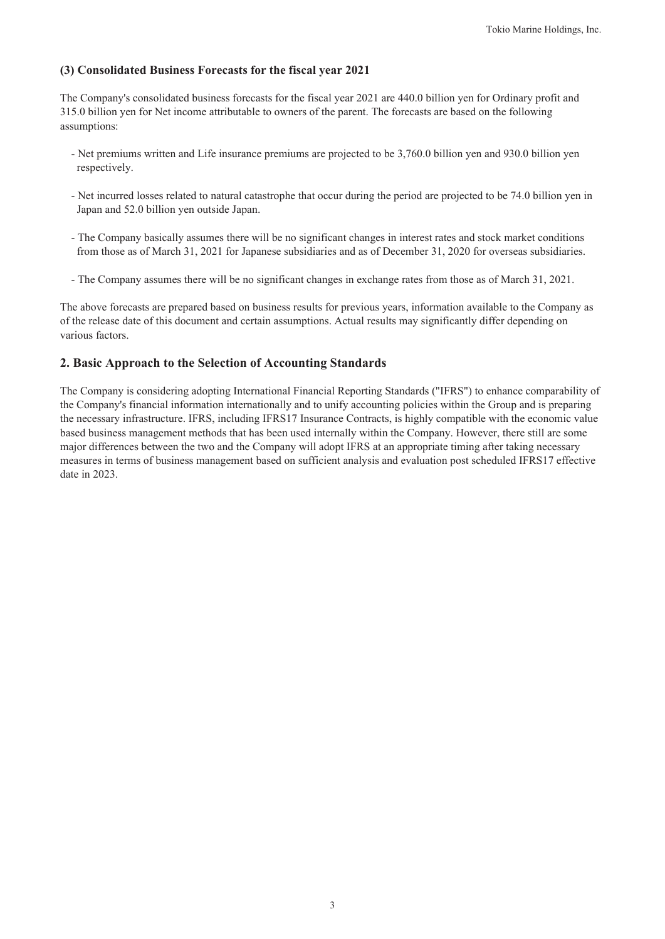### **(3) Consolidated Business Forecasts for the fiscal year 2021**

The Company's consolidated business forecasts for the fiscal year 2021 are 440.0 billion yen for Ordinary profit and 315.0 billion yen for Net income attributable to owners of the parent. The forecasts are based on the following assumptions:

- Net premiums written and Life insurance premiums are projected to be 3,760.0 billion yen and 930.0 billion yen respectively.
- Net incurred losses related to natural catastrophe that occur during the period are projected to be 74.0 billion yen in Japan and 52.0 billion yen outside Japan.
- The Company basically assumes there will be no significant changes in interest rates and stock market conditions from those as of March 31, 2021 for Japanese subsidiaries and as of December 31, 2020 for overseas subsidiaries.
- The Company assumes there will be no significant changes in exchange rates from those as of March 31, 2021.

The above forecasts are prepared based on business results for previous years, information available to the Company as of the release date of this document and certain assumptions. Actual results may significantly differ depending on various factors.

### **2. Basic Approach to the Selection of Accounting Standards**

The Company is considering adopting International Financial Reporting Standards ("IFRS") to enhance comparability of the Company's financial information internationally and to unify accounting policies within the Group and is preparing the necessary infrastructure. IFRS, including IFRS17 Insurance Contracts, is highly compatible with the economic value based business management methods that has been used internally within the Company. However, there still are some major differences between the two and the Company will adopt IFRS at an appropriate timing after taking necessary measures in terms of business management based on sufficient analysis and evaluation post scheduled IFRS17 effective date in 2023.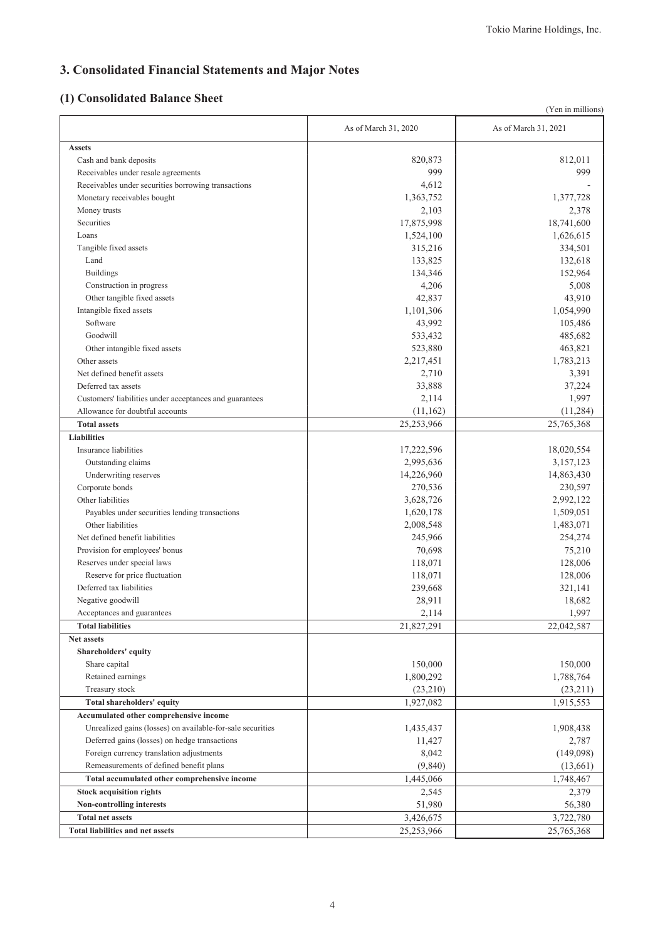# **3. Consolidated Financial Statements and Major Notes**

# **(1) Consolidated Balance Sheet**

|                                                            |                      | (Yen in millions)    |
|------------------------------------------------------------|----------------------|----------------------|
|                                                            | As of March 31, 2020 | As of March 31, 2021 |
| <b>Assets</b>                                              |                      |                      |
| Cash and bank deposits                                     | 820,873              | 812,011              |
| Receivables under resale agreements                        | 999                  | 999                  |
| Receivables under securities borrowing transactions        | 4,612                |                      |
| Monetary receivables bought                                | 1,363,752            | 1,377,728            |
| Money trusts                                               | 2,103                | 2,378                |
| Securities                                                 | 17,875,998           | 18,741,600           |
| Loans                                                      | 1,524,100            | 1,626,615            |
| Tangible fixed assets                                      | 315,216              | 334,501              |
| Land                                                       | 133,825              | 132,618              |
| <b>Buildings</b>                                           | 134,346              | 152,964              |
| Construction in progress                                   | 4,206                | 5,008                |
| Other tangible fixed assets                                | 42,837               | 43,910               |
| Intangible fixed assets                                    | 1,101,306            | 1,054,990            |
| Software                                                   | 43,992               | 105,486              |
| Goodwill                                                   | 533,432              | 485,682              |
| Other intangible fixed assets                              | 523,880              | 463,821              |
| Other assets                                               | 2,217,451            | 1,783,213            |
| Net defined benefit assets                                 | 2,710                | 3,391                |
| Deferred tax assets                                        | 33,888               | 37,224               |
| Customers' liabilities under acceptances and guarantees    | 2,114                | 1,997                |
| Allowance for doubtful accounts                            | (11,162)             | (11, 284)            |
| <b>Total assets</b>                                        | 25,253,966           | 25,765,368           |
| <b>Liabilities</b>                                         |                      |                      |
| Insurance liabilities                                      | 17,222,596           | 18,020,554           |
| Outstanding claims                                         | 2,995,636            | 3,157,123            |
| Underwriting reserves                                      | 14,226,960           | 14,863,430           |
| Corporate bonds                                            | 270,536              | 230,597              |
|                                                            |                      |                      |
| Other liabilities                                          | 3,628,726            | 2,992,122            |
| Payables under securities lending transactions             | 1,620,178            | 1,509,051            |
| Other liabilities                                          | 2,008,548            | 1,483,071            |
| Net defined benefit liabilities                            | 245,966              | 254,274              |
| Provision for employees' bonus                             | 70,698               | 75,210               |
| Reserves under special laws                                | 118,071              | 128,006              |
| Reserve for price fluctuation                              | 118,071              | 128,006              |
| Deferred tax liabilities                                   | 239,668              | 321,141              |
| Negative goodwill                                          | 28,911               | 18,682               |
| Acceptances and guarantees                                 | 2,114                | 1,997                |
| <b>Total liabilities</b>                                   | 21,827,291           | 22,042,587           |
| Net assets                                                 |                      |                      |
| Shareholders' equity                                       |                      |                      |
| Share capital                                              | 150,000              | 150,000              |
| Retained earnings                                          | 1,800,292            | 1,788,764            |
| Treasury stock                                             | (23,210)             | (23, 211)            |
| Total shareholders' equity                                 | 1,927,082            | 1,915,553            |
| Accumulated other comprehensive income                     |                      |                      |
| Unrealized gains (losses) on available-for-sale securities | 1,435,437            | 1,908,438            |
| Deferred gains (losses) on hedge transactions              | 11,427               | 2,787                |
| Foreign currency translation adjustments                   | 8,042                | (149,098)            |
| Remeasurements of defined benefit plans                    | (9,840)              | (13,661)             |
| Total accumulated other comprehensive income               | 1,445,066            | 1,748,467            |
| <b>Stock acquisition rights</b>                            | 2,545                | 2,379                |
| Non-controlling interests                                  | 51,980               | 56,380               |
| <b>Total net assets</b>                                    | 3,426,675            | 3,722,780            |
| <b>Total liabilities and net assets</b>                    | 25,253,966           | 25,765,368           |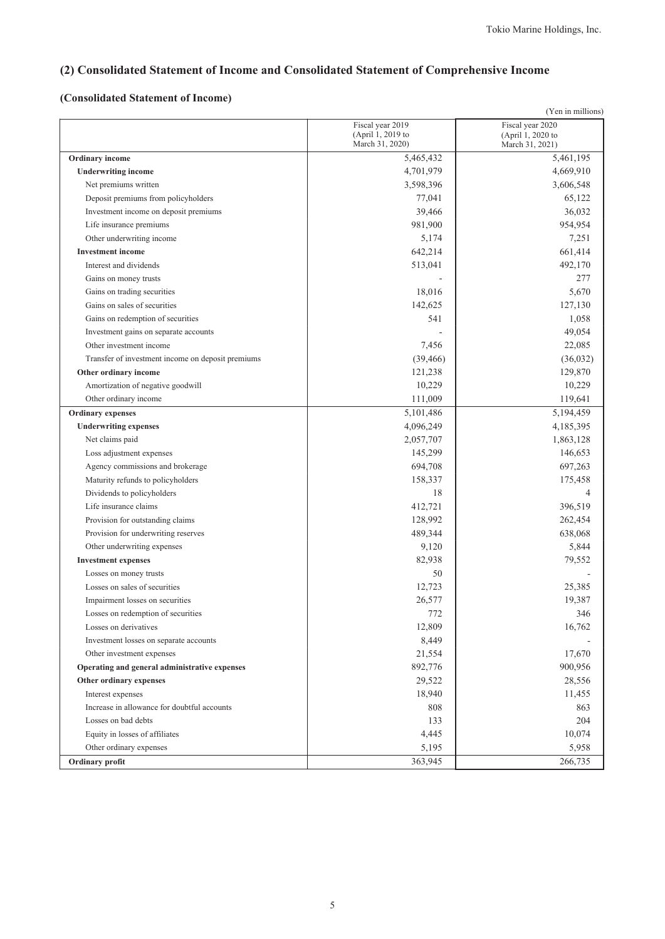# **(2) Consolidated Statement of Income and Consolidated Statement of Comprehensive Income**

# **(Consolidated Statement of Income)**

|                                                   |                                                          | (Yen in millions)                                        |
|---------------------------------------------------|----------------------------------------------------------|----------------------------------------------------------|
|                                                   | Fiscal year 2019<br>(April 1, 2019 to<br>March 31, 2020) | Fiscal year 2020<br>(April 1, 2020 to<br>March 31, 2021) |
| Ordinary income                                   | 5,465,432                                                | 5,461,195                                                |
| <b>Underwriting income</b>                        | 4,701,979                                                | 4,669,910                                                |
| Net premiums written                              | 3,598,396                                                | 3,606,548                                                |
| Deposit premiums from policyholders               | 77,041                                                   | 65,122                                                   |
| Investment income on deposit premiums             | 39,466                                                   | 36,032                                                   |
| Life insurance premiums                           | 981,900                                                  | 954,954                                                  |
| Other underwriting income                         | 5,174                                                    | 7,251                                                    |
| <b>Investment</b> income                          | 642,214                                                  | 661,414                                                  |
| Interest and dividends                            | 513,041                                                  | 492,170                                                  |
| Gains on money trusts                             |                                                          | 277                                                      |
| Gains on trading securities                       | 18,016                                                   | 5,670                                                    |
| Gains on sales of securities                      | 142,625                                                  | 127,130                                                  |
| Gains on redemption of securities                 | 541                                                      | 1,058                                                    |
| Investment gains on separate accounts             |                                                          | 49,054                                                   |
| Other investment income                           | 7,456                                                    | 22,085                                                   |
| Transfer of investment income on deposit premiums | (39, 466)                                                | (36,032)                                                 |
| Other ordinary income                             | 121,238                                                  | 129,870                                                  |
| Amortization of negative goodwill                 | 10,229                                                   | 10,229                                                   |
| Other ordinary income                             | 111,009                                                  | 119,641                                                  |
| <b>Ordinary</b> expenses                          | 5,101,486                                                | 5,194,459                                                |
| <b>Underwriting expenses</b>                      | 4,096,249                                                | 4,185,395                                                |
| Net claims paid                                   | 2,057,707                                                | 1,863,128                                                |
| Loss adjustment expenses                          | 145,299                                                  | 146,653                                                  |
| Agency commissions and brokerage                  | 694,708                                                  | 697,263                                                  |
| Maturity refunds to policyholders                 | 158,337                                                  | 175,458                                                  |
| Dividends to policyholders                        | 18                                                       | 4                                                        |
| Life insurance claims                             | 412,721                                                  | 396,519                                                  |
| Provision for outstanding claims                  | 128,992                                                  | 262,454                                                  |
| Provision for underwriting reserves               | 489,344                                                  | 638,068                                                  |
| Other underwriting expenses                       | 9,120                                                    | 5,844                                                    |
| <b>Investment expenses</b>                        | 82,938                                                   | 79,552                                                   |
| Losses on money trusts                            | 50                                                       |                                                          |
| Losses on sales of securities                     | 12,723                                                   | 25,385                                                   |
| Impairment losses on securities                   | 26,577                                                   | 19,387                                                   |
| Losses on redemption of securities                | 772                                                      | 346                                                      |
| Losses on derivatives                             | 12,809                                                   | 16,762                                                   |
| Investment losses on separate accounts            | 8,449                                                    |                                                          |
| Other investment expenses                         | 21,554                                                   | 17,670                                                   |
| Operating and general administrative expenses     | 892,776                                                  | 900,956                                                  |
| Other ordinary expenses                           | 29,522                                                   | 28,556                                                   |
| Interest expenses                                 | 18,940                                                   | 11,455                                                   |
| Increase in allowance for doubtful accounts       | 808                                                      | 863                                                      |
| Losses on bad debts                               | 133                                                      | 204                                                      |
| Equity in losses of affiliates                    | 4,445                                                    | 10,074                                                   |
| Other ordinary expenses                           | 5,195                                                    | 5,958                                                    |
| Ordinary profit                                   | 363,945                                                  | 266,735                                                  |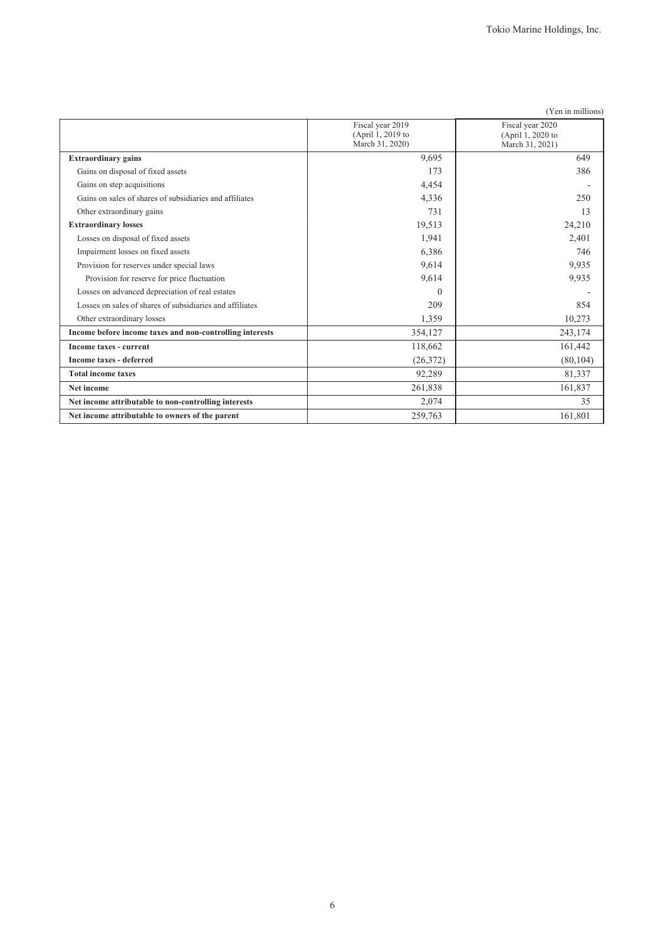|                                                          |                                                          | (Yen in millions)                                        |
|----------------------------------------------------------|----------------------------------------------------------|----------------------------------------------------------|
|                                                          | Fiscal year 2019<br>(April 1, 2019 to<br>March 31, 2020) | Fiscal year 2020<br>(April 1, 2020 to<br>March 31, 2021) |
| <b>Extraordinary gains</b>                               | 9,695                                                    | 649                                                      |
| Gains on disposal of fixed assets                        | 173                                                      | 386                                                      |
| Gains on step acquisitions                               | 4,454                                                    |                                                          |
| Gains on sales of shares of subsidiaries and affiliates  | 4,336                                                    | 250                                                      |
| Other extraordinary gains                                | 731                                                      | 13                                                       |
| <b>Extraordinary losses</b>                              | 19,513                                                   | 24,210                                                   |
| Losses on disposal of fixed assets                       | 1,941                                                    | 2,401                                                    |
| Impairment losses on fixed assets                        | 6,386                                                    | 746                                                      |
| Provision for reserves under special laws                | 9,614                                                    | 9,935                                                    |
| Provision for reserve for price fluctuation              | 9,614                                                    | 9,935                                                    |
| Losses on advanced depreciation of real estates          | $\theta$                                                 |                                                          |
| Losses on sales of shares of subsidiaries and affiliates | 209                                                      | 854                                                      |
| Other extraordinary losses                               | 1,359                                                    | 10,273                                                   |
| Income before income taxes and non-controlling interests | 354,127                                                  | 243,174                                                  |
| Income taxes - current                                   | 118,662                                                  | 161,442                                                  |
| <b>Income taxes - deferred</b>                           | (26,372)                                                 | (80, 104)                                                |
| <b>Total income taxes</b>                                | 92,289                                                   | 81,337                                                   |
| Net income                                               | 261,838                                                  | 161,837                                                  |
| Net income attributable to non-controlling interests     | 2,074                                                    | 35                                                       |
| Net income attributable to owners of the parent          | 259,763                                                  | 161,801                                                  |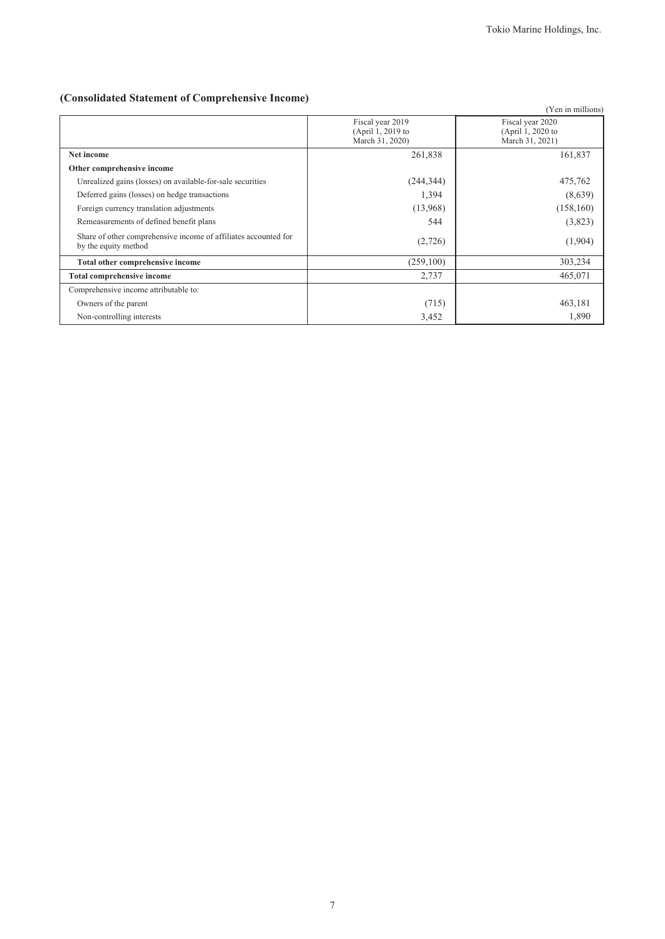# **(Consolidated Statement of Comprehensive Income)**

|                                                                                         |                                                          | (Yen in millions)                                        |
|-----------------------------------------------------------------------------------------|----------------------------------------------------------|----------------------------------------------------------|
|                                                                                         | Fiscal year 2019<br>(April 1, 2019 to<br>March 31, 2020) | Fiscal year 2020<br>(April 1, 2020 to<br>March 31, 2021) |
| Net income                                                                              | 261,838                                                  | 161,837                                                  |
| Other comprehensive income                                                              |                                                          |                                                          |
| Unrealized gains (losses) on available-for-sale securities                              | (244, 344)                                               | 475,762                                                  |
| Deferred gains (losses) on hedge transactions                                           | 1,394                                                    | (8,639)                                                  |
| Foreign currency translation adjustments                                                | (13,968)                                                 | (158, 160)                                               |
| Remeasurements of defined benefit plans                                                 | 544                                                      | (3,823)                                                  |
| Share of other comprehensive income of affiliates accounted for<br>by the equity method | (2,726)                                                  | (1,904)                                                  |
| Total other comprehensive income                                                        | (259,100)                                                | 303,234                                                  |
| <b>Total comprehensive income</b>                                                       | 2,737                                                    | 465,071                                                  |
| Comprehensive income attributable to:                                                   |                                                          |                                                          |
| Owners of the parent                                                                    | (715)                                                    | 463,181                                                  |
| Non-controlling interests                                                               | 3,452                                                    | 1,890                                                    |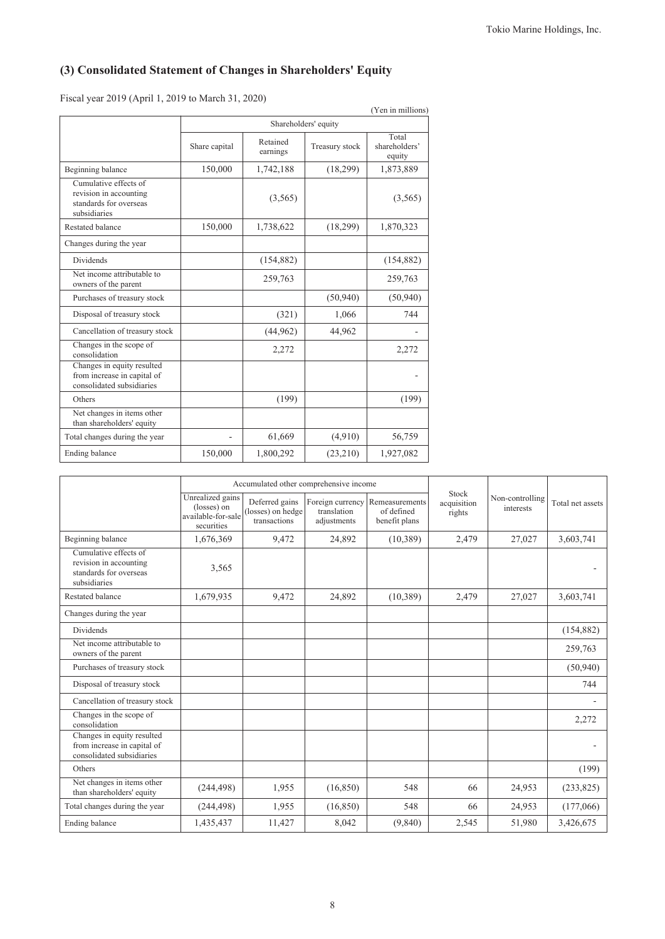# **(3) Consolidated Statement of Changes in Shareholders' Equity**

Fiscal year 2019 (April 1, 2019 to March 31, 2020)

|                                                                                           |               |                      |                      | (Yen in millions)                |
|-------------------------------------------------------------------------------------------|---------------|----------------------|----------------------|----------------------------------|
|                                                                                           |               |                      | Shareholders' equity |                                  |
|                                                                                           | Share capital | Retained<br>earnings | Treasury stock       | Total<br>shareholders'<br>equity |
| Beginning balance                                                                         | 150,000       | 1,742,188            | (18, 299)            | 1,873,889                        |
| Cumulative effects of<br>revision in accounting<br>standards for overseas<br>subsidiaries |               | (3,565)              |                      | (3, 565)                         |
| <b>Restated balance</b>                                                                   | 150,000       | 1,738,622            | (18, 299)            | 1,870,323                        |
| Changes during the year                                                                   |               |                      |                      |                                  |
| <b>Dividends</b>                                                                          |               | (154, 882)           |                      | (154, 882)                       |
| Net income attributable to<br>owners of the parent                                        |               | 259,763              |                      | 259,763                          |
| Purchases of treasury stock                                                               |               |                      | (50, 940)            | (50, 940)                        |
| Disposal of treasury stock                                                                |               | (321)                | 1,066                | 744                              |
| Cancellation of treasury stock                                                            |               | (44, 962)            | 44,962               |                                  |
| Changes in the scope of<br>consolidation                                                  |               | 2,272                |                      | 2,272                            |
| Changes in equity resulted<br>from increase in capital of<br>consolidated subsidiaries    |               |                      |                      |                                  |
| Others                                                                                    |               | (199)                |                      | (199)                            |
| Net changes in items other<br>than shareholders' equity                                   |               |                      |                      |                                  |
| Total changes during the year                                                             |               | 61,669               | (4,910)              | 56,759                           |
| Ending balance                                                                            | 150,000       | 1,800,292            | (23,210)             | 1,927,082                        |

|                                                                                           | Accumulated other comprehensive income                              |                                                     |                                                |                                               |                                |                              |                  |
|-------------------------------------------------------------------------------------------|---------------------------------------------------------------------|-----------------------------------------------------|------------------------------------------------|-----------------------------------------------|--------------------------------|------------------------------|------------------|
|                                                                                           | Unrealized gains<br>(losses) on<br>available-for-sale<br>securities | Deferred gains<br>(losses) on hedge<br>transactions | Foreign currency<br>translation<br>adjustments | Remeasurements<br>of defined<br>benefit plans | Stock<br>acquisition<br>rights | Non-controlling<br>interests | Total net assets |
| Beginning balance                                                                         | 1,676,369                                                           | 9,472                                               | 24,892                                         | (10, 389)                                     | 2,479                          | 27,027                       | 3,603,741        |
| Cumulative effects of<br>revision in accounting<br>standards for overseas<br>subsidiaries | 3,565                                                               |                                                     |                                                |                                               |                                |                              |                  |
| Restated balance                                                                          | 1,679,935                                                           | 9,472                                               | 24,892                                         | (10, 389)                                     | 2,479                          | 27,027                       | 3,603,741        |
| Changes during the year                                                                   |                                                                     |                                                     |                                                |                                               |                                |                              |                  |
| <b>Dividends</b>                                                                          |                                                                     |                                                     |                                                |                                               |                                |                              | (154, 882)       |
| Net income attributable to<br>owners of the parent                                        |                                                                     |                                                     |                                                |                                               |                                |                              | 259,763          |
| Purchases of treasury stock                                                               |                                                                     |                                                     |                                                |                                               |                                |                              | (50, 940)        |
| Disposal of treasury stock                                                                |                                                                     |                                                     |                                                |                                               |                                |                              | 744              |
| Cancellation of treasury stock                                                            |                                                                     |                                                     |                                                |                                               |                                |                              |                  |
| Changes in the scope of<br>consolidation                                                  |                                                                     |                                                     |                                                |                                               |                                |                              | 2,272            |
| Changes in equity resulted<br>from increase in capital of<br>consolidated subsidiaries    |                                                                     |                                                     |                                                |                                               |                                |                              |                  |
| Others                                                                                    |                                                                     |                                                     |                                                |                                               |                                |                              | (199)            |
| Net changes in items other<br>than shareholders' equity                                   | (244, 498)                                                          | 1,955                                               | (16, 850)                                      | 548                                           | 66                             | 24,953                       | (233, 825)       |
| Total changes during the year                                                             | (244, 498)                                                          | 1,955                                               | (16, 850)                                      | 548                                           | 66                             | 24,953                       | (177,066)        |
| Ending balance                                                                            | 1,435,437                                                           | 11,427                                              | 8,042                                          | (9,840)                                       | 2,545                          | 51,980                       | 3,426,675        |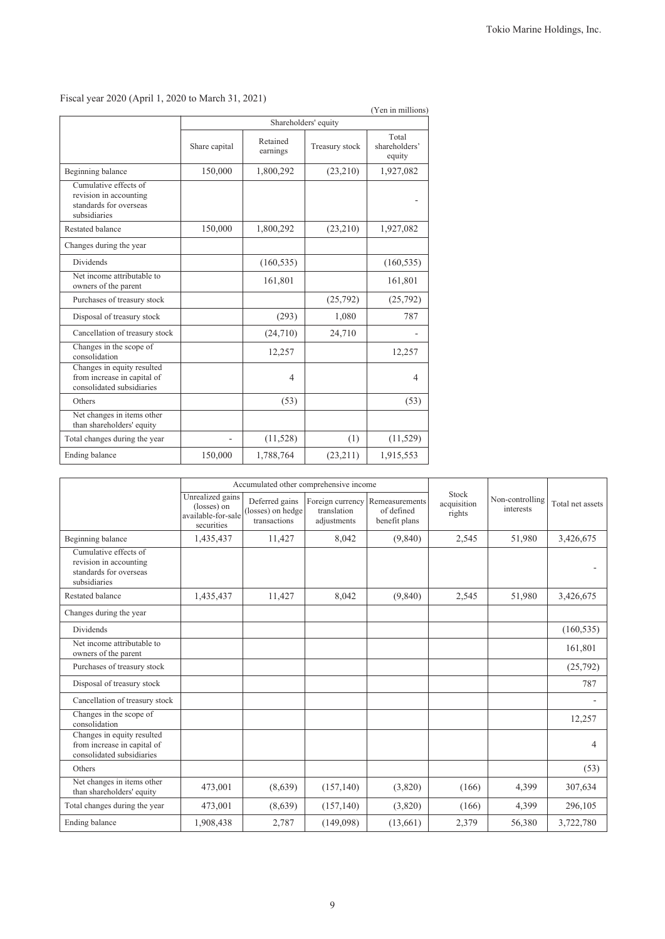(Yen in millions)

|                                                                                           |               |                      | Shareholders' equity |                                  |
|-------------------------------------------------------------------------------------------|---------------|----------------------|----------------------|----------------------------------|
|                                                                                           | Share capital | Retained<br>earnings | Treasury stock       | Total<br>shareholders'<br>equity |
| Beginning balance                                                                         | 150,000       | 1,800,292            | (23,210)             | 1,927,082                        |
| Cumulative effects of<br>revision in accounting<br>standards for overseas<br>subsidiaries |               |                      |                      |                                  |
| <b>Restated balance</b>                                                                   | 150,000       | 1,800,292            | (23,210)             | 1,927,082                        |
| Changes during the year                                                                   |               |                      |                      |                                  |
| <b>Dividends</b>                                                                          |               | (160, 535)           |                      | (160, 535)                       |
| Net income attributable to<br>owners of the parent                                        |               | 161,801              |                      | 161,801                          |
| Purchases of treasury stock                                                               |               |                      | (25,792)             | (25,792)                         |
| Disposal of treasury stock                                                                |               | (293)                | 1,080                | 787                              |
| Cancellation of treasury stock                                                            |               | (24,710)             | 24,710               |                                  |
| Changes in the scope of<br>consolidation                                                  |               | 12,257               |                      | 12,257                           |
| Changes in equity resulted<br>from increase in capital of<br>consolidated subsidiaries    |               | 4                    |                      | $\overline{4}$                   |
| Others                                                                                    |               | (53)                 |                      | (53)                             |
| Net changes in items other<br>than shareholders' equity                                   |               |                      |                      |                                  |
| Total changes during the year                                                             |               | (11,528)             | (1)                  | (11, 529)                        |
| Ending balance                                                                            | 150,000       | 1,788,764            | (23, 211)            | 1,915,553                        |

Fiscal year 2020 (April 1, 2020 to March 31, 2021)

|                                                                                           | Accumulated other comprehensive income                              |                                                     |                                                |                                               |                                |                              |                  |
|-------------------------------------------------------------------------------------------|---------------------------------------------------------------------|-----------------------------------------------------|------------------------------------------------|-----------------------------------------------|--------------------------------|------------------------------|------------------|
|                                                                                           | Unrealized gains<br>(losses) on<br>available-for-sale<br>securities | Deferred gains<br>(losses) on hedge<br>transactions | Foreign currency<br>translation<br>adjustments | Remeasurements<br>of defined<br>benefit plans | Stock<br>acquisition<br>rights | Non-controlling<br>interests | Total net assets |
| Beginning balance                                                                         | 1,435,437                                                           | 11,427                                              | 8,042                                          | (9, 840)                                      | 2,545                          | 51,980                       | 3,426,675        |
| Cumulative effects of<br>revision in accounting<br>standards for overseas<br>subsidiaries |                                                                     |                                                     |                                                |                                               |                                |                              |                  |
| <b>Restated balance</b>                                                                   | 1,435,437                                                           | 11,427                                              | 8,042                                          | (9,840)                                       | 2,545                          | 51,980                       | 3,426,675        |
| Changes during the year                                                                   |                                                                     |                                                     |                                                |                                               |                                |                              |                  |
| <b>Dividends</b>                                                                          |                                                                     |                                                     |                                                |                                               |                                |                              | (160, 535)       |
| Net income attributable to<br>owners of the parent                                        |                                                                     |                                                     |                                                |                                               |                                |                              | 161,801          |
| Purchases of treasury stock                                                               |                                                                     |                                                     |                                                |                                               |                                |                              | (25, 792)        |
| Disposal of treasury stock                                                                |                                                                     |                                                     |                                                |                                               |                                |                              | 787              |
| Cancellation of treasury stock                                                            |                                                                     |                                                     |                                                |                                               |                                |                              |                  |
| Changes in the scope of<br>consolidation                                                  |                                                                     |                                                     |                                                |                                               |                                |                              | 12,257           |
| Changes in equity resulted<br>from increase in capital of<br>consolidated subsidiaries    |                                                                     |                                                     |                                                |                                               |                                |                              | 4                |
| Others                                                                                    |                                                                     |                                                     |                                                |                                               |                                |                              | (53)             |
| Net changes in items other<br>than shareholders' equity                                   | 473,001                                                             | (8,639)                                             | (157, 140)                                     | (3,820)                                       | (166)                          | 4,399                        | 307,634          |
| Total changes during the year                                                             | 473,001                                                             | (8,639)                                             | (157, 140)                                     | (3,820)                                       | (166)                          | 4,399                        | 296,105          |
| Ending balance                                                                            | 1,908,438                                                           | 2,787                                               | (149,098)                                      | (13,661)                                      | 2,379                          | 56,380                       | 3,722,780        |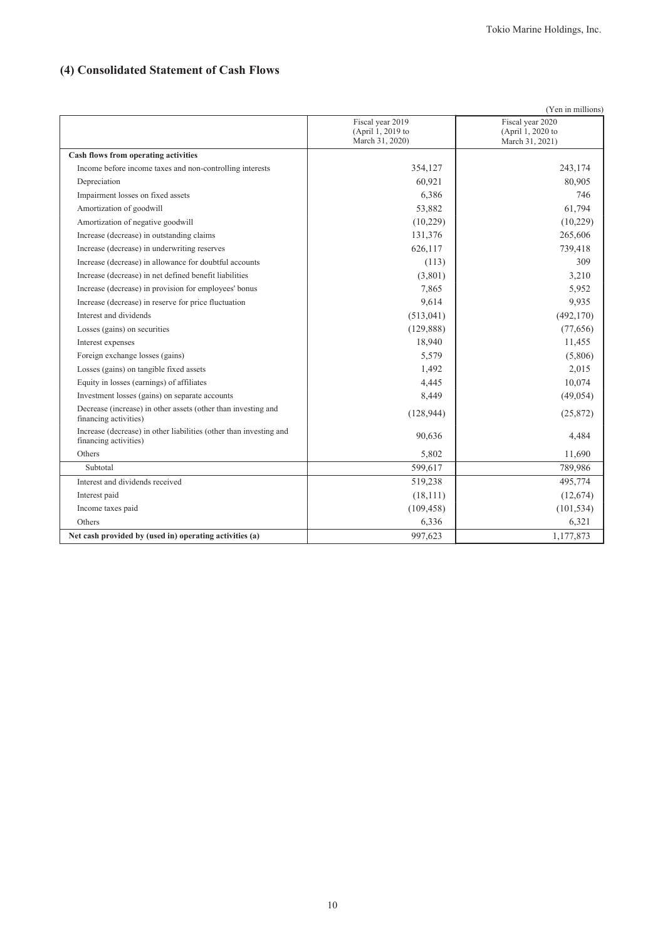# **(4) Consolidated Statement of Cash Flows**

| Fiscal year 2020<br>Fiscal year 2019<br>(April 1, 2019 to<br>(April 1, 2020 to<br>March 31, 2020)<br>March 31, 2021)<br>Cash flows from operating activities<br>243,174<br>354,127<br>Income before income taxes and non-controlling interests<br>60,921<br>80,905<br>Depreciation<br>6,386<br>746<br>Impairment losses on fixed assets<br>53,882<br>61,794<br>Amortization of goodwill<br>(10,229)<br>(10,229)<br>Amortization of negative goodwill<br>131,376<br>265,606<br>Increase (decrease) in outstanding claims<br>626,117<br>739,418<br>Increase (decrease) in underwriting reserves<br>309<br>Increase (decrease) in allowance for doubtful accounts<br>(113)<br>(3,801)<br>3,210<br>Increase (decrease) in net defined benefit liabilities<br>7,865<br>5,952<br>Increase (decrease) in provision for employees' bonus<br>9,614<br>9,935<br>Increase (decrease) in reserve for price fluctuation<br>(513, 041)<br>(492, 170)<br>Interest and dividends<br>(129, 888)<br>(77, 656)<br>Losses (gains) on securities<br>18,940<br>11,455<br>Interest expenses<br>5,579<br>(5,806)<br>Foreign exchange losses (gains)<br>2,015<br>1,492<br>Losses (gains) on tangible fixed assets<br>10,074<br>Equity in losses (earnings) of affiliates<br>4,445<br>(49, 054)<br>Investment losses (gains) on separate accounts<br>8,449<br>Decrease (increase) in other assets (other than investing and<br>(128, 944)<br>(25, 872)<br>financing activities)<br>Increase (decrease) in other liabilities (other than investing and<br>4,484<br>90,636<br>financing activities)<br>Others<br>5,802<br>11,690<br>599,617<br>789,986<br>Subtotal<br>Interest and dividends received<br>495,774<br>519,238<br>Interest paid<br>(18, 111)<br>(12, 674)<br>Income taxes paid<br>(109, 458)<br>(101, 534)<br>Others<br>6,336<br>6,321<br>1,177,873<br>Net cash provided by (used in) operating activities (a)<br>997,623 |  | (Yen in millions) |
|------------------------------------------------------------------------------------------------------------------------------------------------------------------------------------------------------------------------------------------------------------------------------------------------------------------------------------------------------------------------------------------------------------------------------------------------------------------------------------------------------------------------------------------------------------------------------------------------------------------------------------------------------------------------------------------------------------------------------------------------------------------------------------------------------------------------------------------------------------------------------------------------------------------------------------------------------------------------------------------------------------------------------------------------------------------------------------------------------------------------------------------------------------------------------------------------------------------------------------------------------------------------------------------------------------------------------------------------------------------------------------------------------------------------------------------------------------------------------------------------------------------------------------------------------------------------------------------------------------------------------------------------------------------------------------------------------------------------------------------------------------------------------------------------------------------------------------------------------------------------------------------------------------|--|-------------------|
|                                                                                                                                                                                                                                                                                                                                                                                                                                                                                                                                                                                                                                                                                                                                                                                                                                                                                                                                                                                                                                                                                                                                                                                                                                                                                                                                                                                                                                                                                                                                                                                                                                                                                                                                                                                                                                                                                                            |  |                   |
|                                                                                                                                                                                                                                                                                                                                                                                                                                                                                                                                                                                                                                                                                                                                                                                                                                                                                                                                                                                                                                                                                                                                                                                                                                                                                                                                                                                                                                                                                                                                                                                                                                                                                                                                                                                                                                                                                                            |  |                   |
|                                                                                                                                                                                                                                                                                                                                                                                                                                                                                                                                                                                                                                                                                                                                                                                                                                                                                                                                                                                                                                                                                                                                                                                                                                                                                                                                                                                                                                                                                                                                                                                                                                                                                                                                                                                                                                                                                                            |  |                   |
|                                                                                                                                                                                                                                                                                                                                                                                                                                                                                                                                                                                                                                                                                                                                                                                                                                                                                                                                                                                                                                                                                                                                                                                                                                                                                                                                                                                                                                                                                                                                                                                                                                                                                                                                                                                                                                                                                                            |  |                   |
|                                                                                                                                                                                                                                                                                                                                                                                                                                                                                                                                                                                                                                                                                                                                                                                                                                                                                                                                                                                                                                                                                                                                                                                                                                                                                                                                                                                                                                                                                                                                                                                                                                                                                                                                                                                                                                                                                                            |  |                   |
|                                                                                                                                                                                                                                                                                                                                                                                                                                                                                                                                                                                                                                                                                                                                                                                                                                                                                                                                                                                                                                                                                                                                                                                                                                                                                                                                                                                                                                                                                                                                                                                                                                                                                                                                                                                                                                                                                                            |  |                   |
|                                                                                                                                                                                                                                                                                                                                                                                                                                                                                                                                                                                                                                                                                                                                                                                                                                                                                                                                                                                                                                                                                                                                                                                                                                                                                                                                                                                                                                                                                                                                                                                                                                                                                                                                                                                                                                                                                                            |  |                   |
|                                                                                                                                                                                                                                                                                                                                                                                                                                                                                                                                                                                                                                                                                                                                                                                                                                                                                                                                                                                                                                                                                                                                                                                                                                                                                                                                                                                                                                                                                                                                                                                                                                                                                                                                                                                                                                                                                                            |  |                   |
|                                                                                                                                                                                                                                                                                                                                                                                                                                                                                                                                                                                                                                                                                                                                                                                                                                                                                                                                                                                                                                                                                                                                                                                                                                                                                                                                                                                                                                                                                                                                                                                                                                                                                                                                                                                                                                                                                                            |  |                   |
|                                                                                                                                                                                                                                                                                                                                                                                                                                                                                                                                                                                                                                                                                                                                                                                                                                                                                                                                                                                                                                                                                                                                                                                                                                                                                                                                                                                                                                                                                                                                                                                                                                                                                                                                                                                                                                                                                                            |  |                   |
|                                                                                                                                                                                                                                                                                                                                                                                                                                                                                                                                                                                                                                                                                                                                                                                                                                                                                                                                                                                                                                                                                                                                                                                                                                                                                                                                                                                                                                                                                                                                                                                                                                                                                                                                                                                                                                                                                                            |  |                   |
|                                                                                                                                                                                                                                                                                                                                                                                                                                                                                                                                                                                                                                                                                                                                                                                                                                                                                                                                                                                                                                                                                                                                                                                                                                                                                                                                                                                                                                                                                                                                                                                                                                                                                                                                                                                                                                                                                                            |  |                   |
|                                                                                                                                                                                                                                                                                                                                                                                                                                                                                                                                                                                                                                                                                                                                                                                                                                                                                                                                                                                                                                                                                                                                                                                                                                                                                                                                                                                                                                                                                                                                                                                                                                                                                                                                                                                                                                                                                                            |  |                   |
|                                                                                                                                                                                                                                                                                                                                                                                                                                                                                                                                                                                                                                                                                                                                                                                                                                                                                                                                                                                                                                                                                                                                                                                                                                                                                                                                                                                                                                                                                                                                                                                                                                                                                                                                                                                                                                                                                                            |  |                   |
|                                                                                                                                                                                                                                                                                                                                                                                                                                                                                                                                                                                                                                                                                                                                                                                                                                                                                                                                                                                                                                                                                                                                                                                                                                                                                                                                                                                                                                                                                                                                                                                                                                                                                                                                                                                                                                                                                                            |  |                   |
|                                                                                                                                                                                                                                                                                                                                                                                                                                                                                                                                                                                                                                                                                                                                                                                                                                                                                                                                                                                                                                                                                                                                                                                                                                                                                                                                                                                                                                                                                                                                                                                                                                                                                                                                                                                                                                                                                                            |  |                   |
|                                                                                                                                                                                                                                                                                                                                                                                                                                                                                                                                                                                                                                                                                                                                                                                                                                                                                                                                                                                                                                                                                                                                                                                                                                                                                                                                                                                                                                                                                                                                                                                                                                                                                                                                                                                                                                                                                                            |  |                   |
|                                                                                                                                                                                                                                                                                                                                                                                                                                                                                                                                                                                                                                                                                                                                                                                                                                                                                                                                                                                                                                                                                                                                                                                                                                                                                                                                                                                                                                                                                                                                                                                                                                                                                                                                                                                                                                                                                                            |  |                   |
|                                                                                                                                                                                                                                                                                                                                                                                                                                                                                                                                                                                                                                                                                                                                                                                                                                                                                                                                                                                                                                                                                                                                                                                                                                                                                                                                                                                                                                                                                                                                                                                                                                                                                                                                                                                                                                                                                                            |  |                   |
|                                                                                                                                                                                                                                                                                                                                                                                                                                                                                                                                                                                                                                                                                                                                                                                                                                                                                                                                                                                                                                                                                                                                                                                                                                                                                                                                                                                                                                                                                                                                                                                                                                                                                                                                                                                                                                                                                                            |  |                   |
|                                                                                                                                                                                                                                                                                                                                                                                                                                                                                                                                                                                                                                                                                                                                                                                                                                                                                                                                                                                                                                                                                                                                                                                                                                                                                                                                                                                                                                                                                                                                                                                                                                                                                                                                                                                                                                                                                                            |  |                   |
|                                                                                                                                                                                                                                                                                                                                                                                                                                                                                                                                                                                                                                                                                                                                                                                                                                                                                                                                                                                                                                                                                                                                                                                                                                                                                                                                                                                                                                                                                                                                                                                                                                                                                                                                                                                                                                                                                                            |  |                   |
|                                                                                                                                                                                                                                                                                                                                                                                                                                                                                                                                                                                                                                                                                                                                                                                                                                                                                                                                                                                                                                                                                                                                                                                                                                                                                                                                                                                                                                                                                                                                                                                                                                                                                                                                                                                                                                                                                                            |  |                   |
|                                                                                                                                                                                                                                                                                                                                                                                                                                                                                                                                                                                                                                                                                                                                                                                                                                                                                                                                                                                                                                                                                                                                                                                                                                                                                                                                                                                                                                                                                                                                                                                                                                                                                                                                                                                                                                                                                                            |  |                   |
|                                                                                                                                                                                                                                                                                                                                                                                                                                                                                                                                                                                                                                                                                                                                                                                                                                                                                                                                                                                                                                                                                                                                                                                                                                                                                                                                                                                                                                                                                                                                                                                                                                                                                                                                                                                                                                                                                                            |  |                   |
|                                                                                                                                                                                                                                                                                                                                                                                                                                                                                                                                                                                                                                                                                                                                                                                                                                                                                                                                                                                                                                                                                                                                                                                                                                                                                                                                                                                                                                                                                                                                                                                                                                                                                                                                                                                                                                                                                                            |  |                   |
|                                                                                                                                                                                                                                                                                                                                                                                                                                                                                                                                                                                                                                                                                                                                                                                                                                                                                                                                                                                                                                                                                                                                                                                                                                                                                                                                                                                                                                                                                                                                                                                                                                                                                                                                                                                                                                                                                                            |  |                   |
|                                                                                                                                                                                                                                                                                                                                                                                                                                                                                                                                                                                                                                                                                                                                                                                                                                                                                                                                                                                                                                                                                                                                                                                                                                                                                                                                                                                                                                                                                                                                                                                                                                                                                                                                                                                                                                                                                                            |  |                   |
|                                                                                                                                                                                                                                                                                                                                                                                                                                                                                                                                                                                                                                                                                                                                                                                                                                                                                                                                                                                                                                                                                                                                                                                                                                                                                                                                                                                                                                                                                                                                                                                                                                                                                                                                                                                                                                                                                                            |  |                   |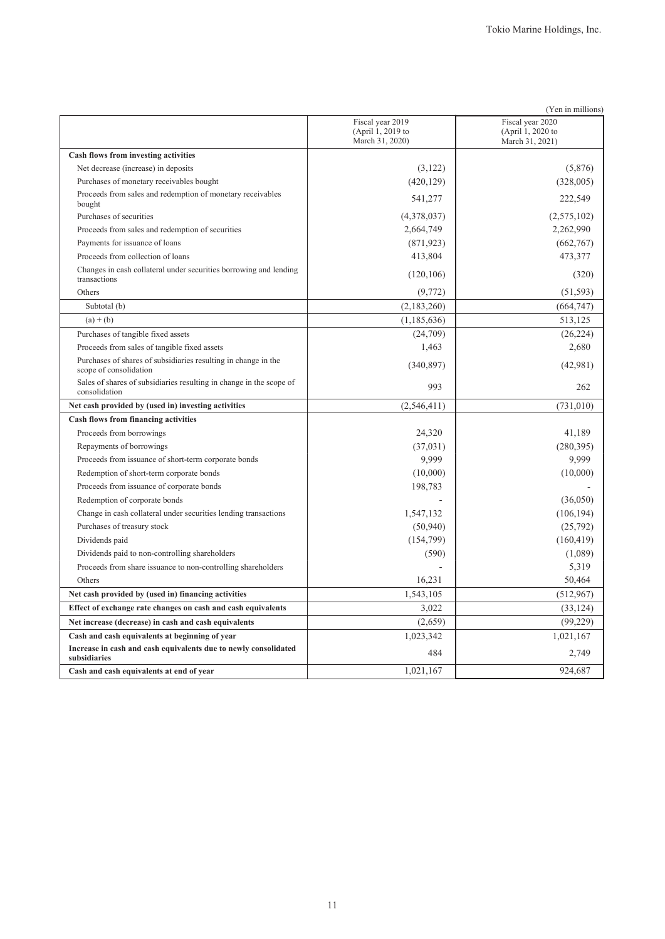|                                                                                          |                                                          | (Yen in millions)                                        |
|------------------------------------------------------------------------------------------|----------------------------------------------------------|----------------------------------------------------------|
|                                                                                          | Fiscal year 2019<br>(April 1, 2019 to<br>March 31, 2020) | Fiscal year 2020<br>(April 1, 2020 to<br>March 31, 2021) |
| Cash flows from investing activities                                                     |                                                          |                                                          |
| Net decrease (increase) in deposits                                                      | (3,122)                                                  | (5,876)                                                  |
| Purchases of monetary receivables bought                                                 | (420, 129)                                               | (328,005)                                                |
| Proceeds from sales and redemption of monetary receivables<br>bought                     | 541,277                                                  | 222,549                                                  |
| Purchases of securities                                                                  | (4,378,037)                                              | (2,575,102)                                              |
| Proceeds from sales and redemption of securities                                         | 2,664,749                                                | 2,262,990                                                |
| Payments for issuance of loans                                                           | (871, 923)                                               | (662,767)                                                |
| Proceeds from collection of loans                                                        | 413,804                                                  | 473,377                                                  |
| Changes in cash collateral under securities borrowing and lending<br>transactions        | (120, 106)                                               | (320)                                                    |
| Others                                                                                   | (9,772)                                                  | (51, 593)                                                |
| Subtotal (b)                                                                             | (2,183,260)                                              | (664, 747)                                               |
| $(a) + (b)$                                                                              | (1,185,636)                                              | 513,125                                                  |
| Purchases of tangible fixed assets                                                       | (24,709)                                                 | (26, 224)                                                |
| Proceeds from sales of tangible fixed assets                                             | 1,463                                                    | 2,680                                                    |
| Purchases of shares of subsidiaries resulting in change in the<br>scope of consolidation | (340, 897)                                               | (42,981)                                                 |
| Sales of shares of subsidiaries resulting in change in the scope of<br>consolidation     | 993                                                      | 262                                                      |
| Net cash provided by (used in) investing activities                                      | (2,546,411)                                              | (731,010)                                                |
| <b>Cash flows from financing activities</b>                                              |                                                          |                                                          |
| Proceeds from borrowings                                                                 | 24,320                                                   | 41,189                                                   |
| Repayments of borrowings                                                                 | (37,031)                                                 | (280, 395)                                               |
| Proceeds from issuance of short-term corporate bonds                                     | 9.999                                                    | 9.999                                                    |
| Redemption of short-term corporate bonds                                                 | (10,000)                                                 | (10,000)                                                 |
| Proceeds from issuance of corporate bonds                                                | 198,783                                                  |                                                          |
| Redemption of corporate bonds                                                            |                                                          | (36,050)                                                 |
| Change in cash collateral under securities lending transactions                          | 1,547,132                                                | (106, 194)                                               |
| Purchases of treasury stock                                                              | (50, 940)                                                | (25,792)                                                 |
| Dividends paid                                                                           | (154, 799)                                               | (160, 419)                                               |
| Dividends paid to non-controlling shareholders                                           | (590)                                                    | (1,089)                                                  |
| Proceeds from share issuance to non-controlling shareholders                             |                                                          | 5,319                                                    |
| Others                                                                                   | 16,231                                                   | 50,464                                                   |
| Net cash provided by (used in) financing activities                                      | 1,543,105                                                | (512,967)                                                |
| Effect of exchange rate changes on cash and cash equivalents                             | 3,022                                                    | (33, 124)                                                |
| Net increase (decrease) in cash and cash equivalents                                     | (2,659)                                                  | (99,229)                                                 |
| Cash and cash equivalents at beginning of year                                           | 1,023,342                                                | 1,021,167                                                |
| Increase in cash and cash equivalents due to newly consolidated<br>subsidiaries          | 484                                                      | 2,749                                                    |
| Cash and cash equivalents at end of year                                                 | 1,021,167                                                | 924,687                                                  |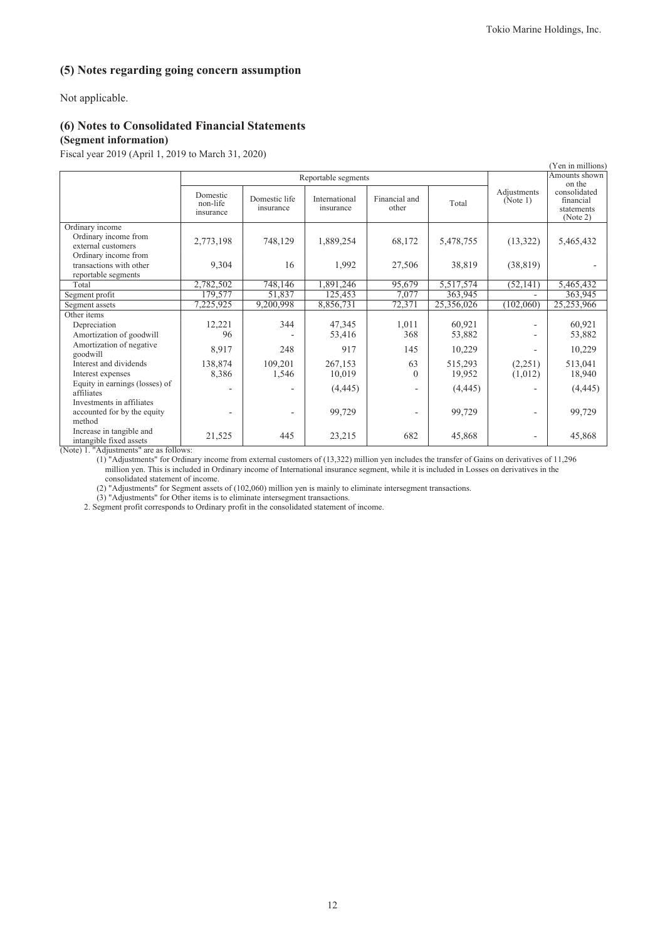# **(5) Notes regarding going concern assumption**

Not applicable.

## **(6) Notes to Consolidated Financial Statements**

### **(Segment information)**

Fiscal year 2019 (April 1, 2019 to March 31, 2020)

| (Yen in millions)                                                                     |                                   |                            |                            |                        |            |                         |                                                     |
|---------------------------------------------------------------------------------------|-----------------------------------|----------------------------|----------------------------|------------------------|------------|-------------------------|-----------------------------------------------------|
|                                                                                       |                                   |                            | Reportable segments        |                        |            |                         | Amounts shown<br>on the                             |
|                                                                                       | Domestic<br>non-life<br>insurance | Domestic life<br>insurance | International<br>insurance | Financial and<br>other | Total      | Adjustments<br>(Note 1) | consolidated<br>financial<br>statements<br>(Note 2) |
| Ordinary income<br>Ordinary income from<br>external customers<br>Ordinary income from | 2,773,198                         | 748,129                    | 1,889,254                  | 68,172                 | 5,478,755  | (13,322)                | 5,465,432                                           |
| transactions with other<br>reportable segments                                        | 9,304                             | 16                         | 1,992                      | 27,506                 | 38,819     | (38, 819)               |                                                     |
| Total                                                                                 | 2,782,502                         | 748,146                    | 1,891,246                  | 95,679                 | 5,517,574  | (52, 141)               | 5,465,432                                           |
| Segment profit                                                                        | 179,577                           | 51,837                     | 125,453                    | 7,077                  | 363,945    |                         | 363,945                                             |
| Segment assets                                                                        | 7,225,925                         | 9,200,998                  | 8,856,731                  | 72,371                 | 25,356,026 | (102,060)               | 25,253,966                                          |
| Other items                                                                           |                                   |                            |                            |                        |            |                         |                                                     |
| Depreciation                                                                          | 12,221                            | 344                        | 47,345                     | 1,011                  | 60,921     |                         | 60,921                                              |
| Amortization of goodwill                                                              | 96                                |                            | 53,416                     | 368                    | 53,882     |                         | 53,882                                              |
| Amortization of negative<br>goodwill                                                  | 8,917                             | 248                        | 917                        | 145                    | 10,229     |                         | 10,229                                              |
| Interest and dividends                                                                | 138,874                           | 109,201                    | 267,153                    | 63                     | 515,293    | (2,251)                 | 513,041                                             |
| Interest expenses                                                                     | 8,386                             | 1,546                      | 10,019                     | $\theta$               | 19,952     | (1,012)                 | 18,940                                              |
| Equity in earnings (losses) of<br>affiliates                                          |                                   |                            | (4, 445)                   |                        | (4, 445)   |                         | (4, 445)                                            |
| Investments in affiliates<br>accounted for by the equity<br>method                    |                                   |                            | 99,729                     |                        | 99,729     |                         | 99,729                                              |
| Increase in tangible and<br>intangible fixed assets                                   | 21,525                            | 445                        | 23,215                     | 682                    | 45,868     |                         | 45,868                                              |

(Note) 1. "Adjustments" are as follows:

(1) "Adjustments" for Ordinary income from external customers of (13,322) million yen includes the transfer of Gains on derivatives of 11,296 million yen. This is included in Ordinary income of International insurance segment, while it is included in Losses on derivatives in the consolidated statement of income.

(2) "Adjustments" for Segment assets of (102,060) million yen is mainly to eliminate intersegment transactions.

(3) "Adjustments" for Other items is to eliminate intersegment transactions.

2. Segment profit corresponds to Ordinary profit in the consolidated statement of income.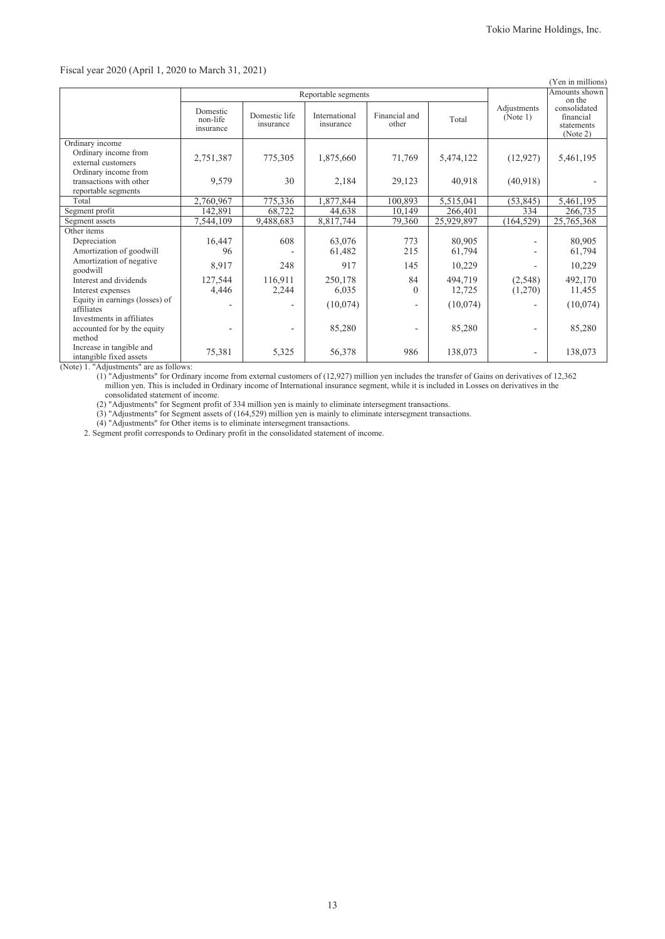### Fiscal year 2020 (April 1, 2020 to March 31, 2021)

| (Yen in millions)                                                                                                |                                   |                            |                            |                        |                     |                         |                                                     |
|------------------------------------------------------------------------------------------------------------------|-----------------------------------|----------------------------|----------------------------|------------------------|---------------------|-------------------------|-----------------------------------------------------|
|                                                                                                                  | Reportable segments               |                            |                            |                        |                     |                         | Amounts shown<br>on the                             |
|                                                                                                                  | Domestic<br>non-life<br>insurance | Domestic life<br>insurance | International<br>insurance | Financial and<br>other | Total               | Adjustments<br>(Note 1) | consolidated<br>financial<br>statements<br>(Note 2) |
| Ordinary income<br>Ordinary income from<br>external customers<br>Ordinary income from<br>transactions with other | 2,751,387<br>9,579                | 775,305<br>30              | 1,875,660<br>2,184         | 71,769<br>29,123       | 5,474,122<br>40,918 | (12, 927)<br>(40,918)   | 5,461,195                                           |
| reportable segments                                                                                              |                                   |                            |                            |                        |                     |                         |                                                     |
| Total                                                                                                            | 2,760,967                         | 775,336                    | 1,877,844                  | 100,893                | 5,515,041           | (53, 845)               | 5,461,195                                           |
| Segment profit                                                                                                   | 142,891                           | 68,722                     | 44,638                     | 10,149                 | 266,401             | 334                     | 266,735                                             |
| Segment assets                                                                                                   | 7,544,109                         | 9,488,683                  | 8,817,744                  | 79,360                 | 25,929,897          | (164, 529)              | 25,765,368                                          |
| Other items                                                                                                      |                                   |                            |                            |                        |                     |                         |                                                     |
| Depreciation                                                                                                     | 16,447                            | 608                        | 63,076                     | 773                    | 80,905              |                         | 80,905                                              |
| Amortization of goodwill                                                                                         | 96                                |                            | 61,482                     | 215                    | 61,794              |                         | 61,794                                              |
| Amortization of negative<br>goodwill                                                                             | 8,917                             | 248                        | 917                        | 145                    | 10,229              |                         | 10,229                                              |
| Interest and dividends                                                                                           | 127,544                           | 116,911                    | 250,178                    | 84                     | 494,719             | (2,548)                 | 492,170                                             |
| Interest expenses                                                                                                | 4,446                             | 2,244                      | 6,035                      | $\theta$               | 12,725              | (1,270)                 | 11,455                                              |
| Equity in earnings (losses) of<br>affiliates                                                                     |                                   |                            | (10,074)                   |                        | (10,074)            |                         | (10,074)                                            |
| Investments in affiliates<br>accounted for by the equity<br>method                                               |                                   |                            | 85,280                     |                        | 85,280              |                         | 85,280                                              |
| Increase in tangible and<br>intangible fixed assets                                                              | 75,381                            | 5,325                      | 56,378                     | 986                    | 138,073             |                         | 138,073                                             |

(Note) 1. "Adjustments" are as follows:

(1) "Adjustments" for Ordinary income from external customers of (12,927) million yen includes the transfer of Gains on derivatives of 12,362 million yen. This is included in Ordinary income of International insurance segment, while it is included in Losses on derivatives in the consolidated statement of income.

(2) "Adjustments" for Segment profit of 334 million yen is mainly to eliminate intersegment transactions.

(3) "Adjustments" for Segment assets of (164,529) million yen is mainly to eliminate intersegment transactions.

(4) "Adjustments" for Other items is to eliminate intersegment transactions.

2. Segment profit corresponds to Ordinary profit in the consolidated statement of income.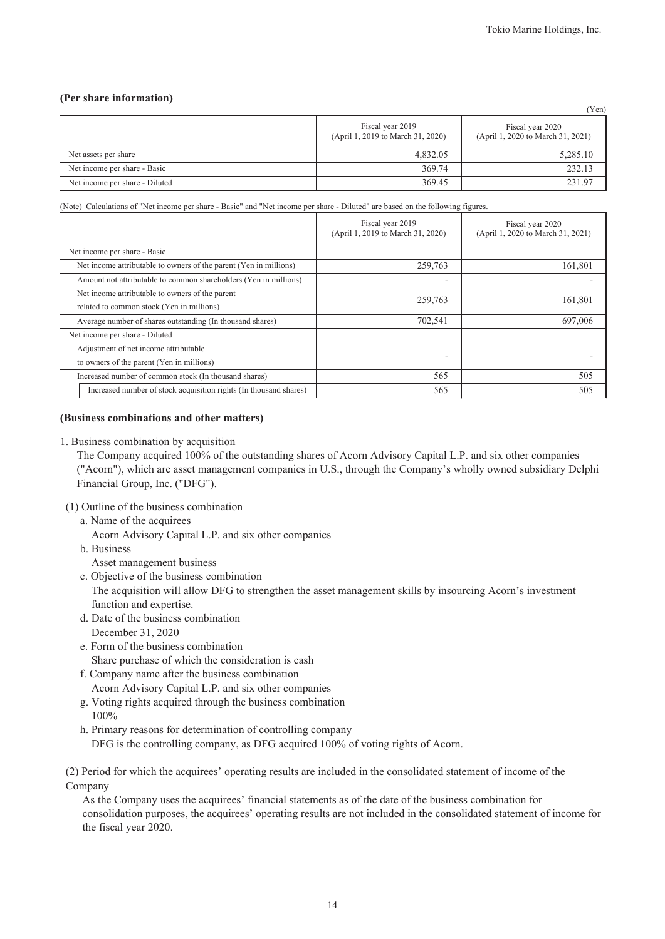### **(Per share information)**

|                                |                                                       | (Yen)                                                 |
|--------------------------------|-------------------------------------------------------|-------------------------------------------------------|
|                                | Fiscal year 2019<br>(April 1, 2019 to March 31, 2020) | Fiscal year 2020<br>(April 1, 2020 to March 31, 2021) |
| Net assets per share           | 4.832.05                                              | 5,285.10                                              |
| Net income per share - Basic   | 369.74                                                | 232.13                                                |
| Net income per share - Diluted | 369.45                                                | 231.97                                                |

(Note) Calculations of "Net income per share - Basic" and "Net income per share - Diluted" are based on the following figures.

|                                                                   | Fiscal year 2019<br>(April 1, 2019 to March 31, 2020) | Fiscal year 2020<br>(April 1, 2020 to March 31, 2021) |  |
|-------------------------------------------------------------------|-------------------------------------------------------|-------------------------------------------------------|--|
| Net income per share - Basic                                      |                                                       |                                                       |  |
| Net income attributable to owners of the parent (Yen in millions) | 259,763                                               | 161,801                                               |  |
| Amount not attributable to common shareholders (Yen in millions)  | ٠                                                     |                                                       |  |
| Net income attributable to owners of the parent                   | 259,763                                               | 161,801                                               |  |
| related to common stock (Yen in millions)                         |                                                       |                                                       |  |
| Average number of shares outstanding (In thousand shares)         | 702,541                                               | 697,006                                               |  |
| Net income per share - Diluted                                    |                                                       |                                                       |  |
| Adjustment of net income attributable                             |                                                       |                                                       |  |
| to owners of the parent (Yen in millions)                         |                                                       |                                                       |  |
| Increased number of common stock (In thousand shares)             | 565                                                   | 505                                                   |  |
| Increased number of stock acquisition rights (In thousand shares) | 565                                                   | 505                                                   |  |

### **(Business combinations and other matters)**

1. Business combination by acquisition

The Company acquired 100% of the outstanding shares of Acorn Advisory Capital L.P. and six other companies ("Acorn"), which are asset management companies in U.S., through the Company's wholly owned subsidiary Delphi Financial Group, Inc. ("DFG").

(1) Outline of the business combination

a. Name of the acquirees

Acorn Advisory Capital L.P. and six other companies

b. Business

Asset management business

c. Objective of the business combination

The acquisition will allow DFG to strengthen the asset management skills by insourcing Acorn's investment function and expertise.

- d. Date of the business combination December 31, 2020
- e. Form of the business combination Share purchase of which the consideration is cash
- f. Company name after the business combination

Acorn Advisory Capital L.P. and six other companies

- g. Voting rights acquired through the business combination 100%
- h. Primary reasons for determination of controlling company DFG is the controlling company, as DFG acquired 100% of voting rights of Acorn.

(2) Period for which the acquirees' operating results are included in the consolidated statement of income of the Company

As the Company uses the acquirees' financial statements as of the date of the business combination for consolidation purposes, the acquirees' operating results are not included in the consolidated statement of income for the fiscal year 2020.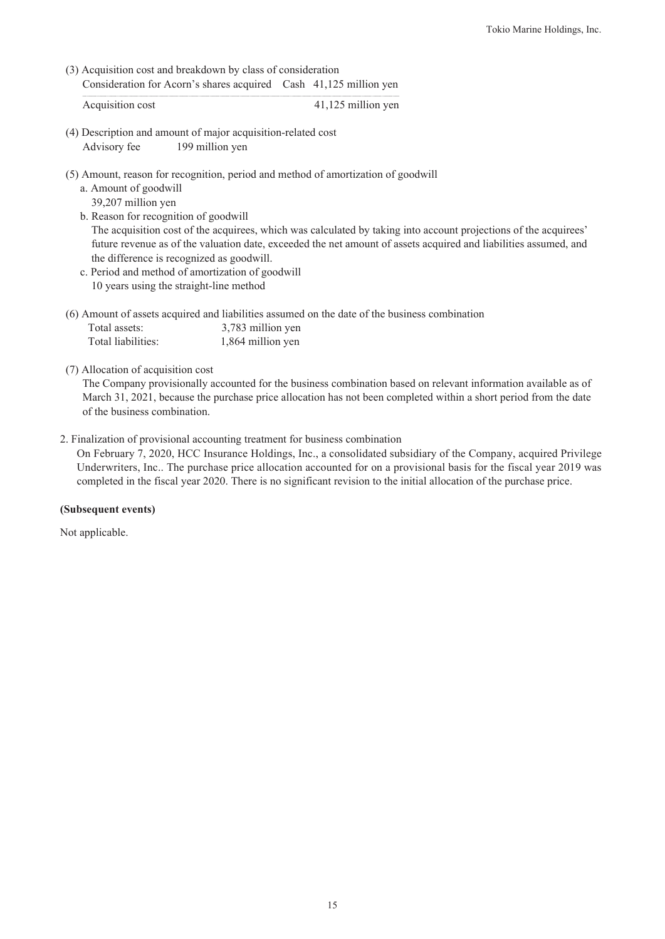(3) Acquisition cost and breakdown by class of consideration Consideration for Acorn's shares acquired Cash 41,125 million yen

Acquisition cost 41,125 million yen

- (4) Description and amount of major acquisition-related cost Advisory fee 199 million yen
- (5) Amount, reason for recognition, period and method of amortization of goodwill
	- a. Amount of goodwill 39,207 million yen
	- b. Reason for recognition of goodwill The acquisition cost of the acquirees, which was calculated by taking into account projections of the acquirees' future revenue as of the valuation date, exceeded the net amount of assets acquired and liabilities assumed, and the difference is recognized as goodwill.
	- c. Period and method of amortization of goodwill 10 years using the straight-line method
- (6) Amount of assets acquired and liabilities assumed on the date of the business combination

| Total assets:      | 3,783 million yen |
|--------------------|-------------------|
| Total liabilities: | 1,864 million yen |

(7) Allocation of acquisition cost

The Company provisionally accounted for the business combination based on relevant information available as of March 31, 2021, because the purchase price allocation has not been completed within a short period from the date of the business combination.

2. Finalization of provisional accounting treatment for business combination

On February 7, 2020, HCC Insurance Holdings, Inc., a consolidated subsidiary of the Company, acquired Privilege Underwriters, Inc.. The purchase price allocation accounted for on a provisional basis for the fiscal year 2019 was completed in the fiscal year 2020. There is no significant revision to the initial allocation of the purchase price.

### **(Subsequent events)**

Not applicable.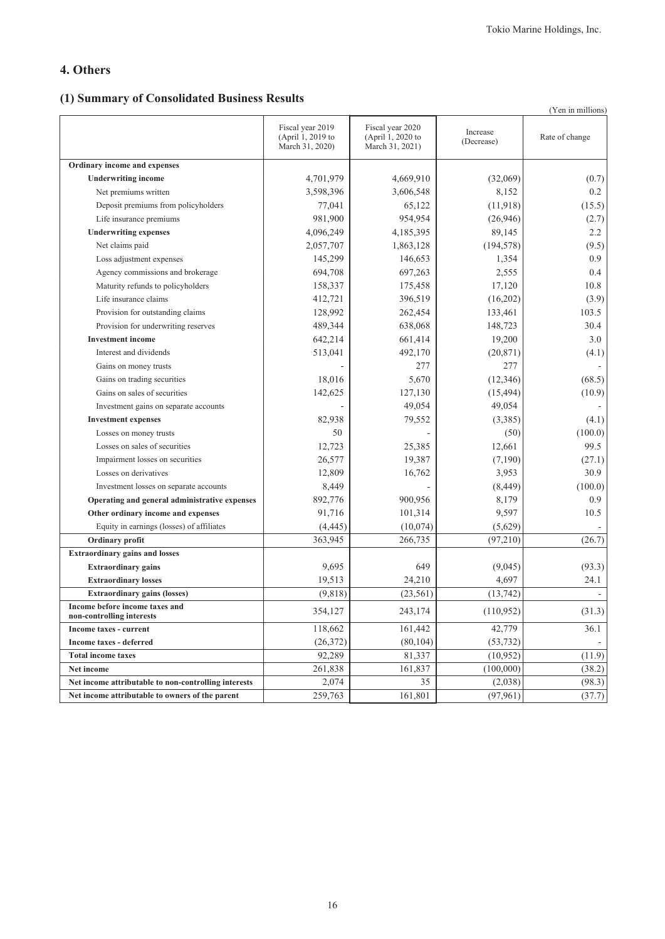# **4. Others**

# **(1) Summary of Consolidated Business Results**

|                                                             |                                                          |                                                          |                        | (Yen in millions) |
|-------------------------------------------------------------|----------------------------------------------------------|----------------------------------------------------------|------------------------|-------------------|
|                                                             | Fiscal year 2019<br>(April 1, 2019 to<br>March 31, 2020) | Fiscal year 2020<br>(April 1, 2020 to<br>March 31, 2021) | Increase<br>(Decrease) | Rate of change    |
| Ordinary income and expenses                                |                                                          |                                                          |                        |                   |
| <b>Underwriting income</b>                                  | 4,701,979                                                | 4,669,910                                                | (32,069)               | (0.7)             |
| Net premiums written                                        | 3,598,396                                                | 3,606,548                                                | 8,152                  | 0.2               |
| Deposit premiums from policyholders                         | 77,041                                                   | 65,122                                                   | (11, 918)              | (15.5)            |
| Life insurance premiums                                     | 981,900                                                  | 954,954                                                  | (26,946)               | (2.7)             |
| <b>Underwriting expenses</b>                                | 4,096,249                                                | 4,185,395                                                | 89,145                 | 2.2               |
| Net claims paid                                             | 2,057,707                                                | 1,863,128                                                | (194, 578)             | (9.5)             |
| Loss adjustment expenses                                    | 145,299                                                  | 146,653                                                  | 1,354                  | 0.9               |
| Agency commissions and brokerage                            | 694,708                                                  | 697,263                                                  | 2,555                  | 0.4               |
| Maturity refunds to policyholders                           | 158,337                                                  | 175,458                                                  | 17,120                 | 10.8              |
| Life insurance claims                                       | 412,721                                                  | 396,519                                                  | (16,202)               | (3.9)             |
| Provision for outstanding claims                            | 128,992                                                  | 262,454                                                  | 133,461                | 103.5             |
| Provision for underwriting reserves                         | 489,344                                                  | 638,068                                                  | 148,723                | 30.4              |
| <b>Investment income</b>                                    | 642,214                                                  | 661,414                                                  | 19,200                 | 3.0               |
| Interest and dividends                                      | 513,041                                                  | 492,170                                                  | (20, 871)              | (4.1)             |
| Gains on money trusts                                       |                                                          | 277                                                      | 277                    |                   |
| Gains on trading securities                                 | 18,016                                                   | 5,670                                                    | (12, 346)              | (68.5)            |
| Gains on sales of securities                                | 142,625                                                  | 127,130                                                  | (15, 494)              | (10.9)            |
| Investment gains on separate accounts                       |                                                          | 49,054                                                   | 49,054                 |                   |
| <b>Investment expenses</b>                                  | 82,938                                                   | 79,552                                                   | (3,385)                | (4.1)             |
| Losses on money trusts                                      | 50                                                       |                                                          | (50)                   | (100.0)           |
| Losses on sales of securities                               | 12,723                                                   | 25,385                                                   | 12,661                 | 99.5              |
| Impairment losses on securities                             | 26,577                                                   | 19,387                                                   | (7,190)                | (27.1)            |
| Losses on derivatives                                       | 12,809                                                   | 16,762                                                   | 3,953                  | 30.9              |
| Investment losses on separate accounts                      | 8,449                                                    |                                                          | (8, 449)               | (100.0)           |
| Operating and general administrative expenses               | 892,776                                                  | 900,956                                                  | 8,179                  | 0.9               |
| Other ordinary income and expenses                          | 91,716                                                   | 101,314                                                  | 9,597                  | 10.5              |
| Equity in earnings (losses) of affiliates                   | (4, 445)                                                 | (10,074)                                                 | (5,629)                |                   |
| Ordinary profit                                             | 363,945                                                  | 266,735                                                  | (97,210)               | (26.7)            |
| <b>Extraordinary gains and losses</b>                       |                                                          |                                                          |                        |                   |
| <b>Extraordinary gains</b>                                  | 9,695                                                    | 649                                                      | (9,045)                | (93.3)            |
| <b>Extraordinary losses</b>                                 | 19,513                                                   | 24,210                                                   | 4,697                  | 24.1              |
| <b>Extraordinary gains (losses)</b>                         | (9, 818)                                                 | (23, 561)                                                | (13, 742)              |                   |
| Income before income taxes and<br>non-controlling interests | 354,127                                                  | 243,174                                                  | (110, 952)             | (31.3)            |
| Income taxes - current                                      | 118,662                                                  | 161,442                                                  | 42,779                 | 36.1              |
| Income taxes - deferred                                     | (26, 372)                                                | (80, 104)                                                | (53, 732)              |                   |
| <b>Total income taxes</b>                                   | 92,289                                                   | 81,337                                                   | (10, 952)              | (11.9)            |
| Net income                                                  | 261,838                                                  | 161,837                                                  | (100,000)              | (38.2)            |
| Net income attributable to non-controlling interests        | 2,074                                                    | 35                                                       | (2,038)                | (98.3)            |
| Net income attributable to owners of the parent             | 259,763                                                  | 161,801                                                  | (97, 961)              | (37.7)            |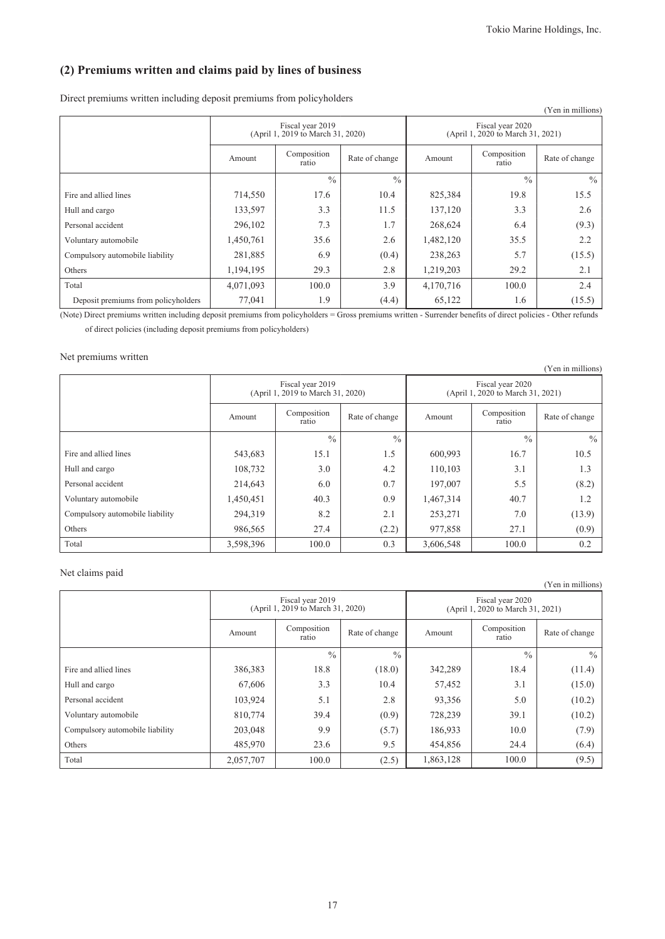# **(2) Premiums written and claims paid by lines of business**

Direct premiums written including deposit premiums from policyholders

| Direct premiums written meruumg ueposit premiums from pone profucis |           |                                                       |                |           |                                                       | (Yen in millions) |
|---------------------------------------------------------------------|-----------|-------------------------------------------------------|----------------|-----------|-------------------------------------------------------|-------------------|
|                                                                     |           | Fiscal year 2019<br>(April 1, 2019 to March 31, 2020) |                |           | Fiscal year 2020<br>(April 1, 2020 to March 31, 2021) |                   |
|                                                                     | Amount    | Composition<br>ratio                                  | Rate of change | Amount    | Composition<br>ratio                                  | Rate of change    |
|                                                                     |           | $\frac{0}{0}$                                         | $\frac{0}{0}$  |           | $\frac{0}{0}$                                         | $\frac{0}{0}$     |
| Fire and allied lines                                               | 714,550   | 17.6                                                  | 10.4           | 825,384   | 19.8                                                  | 15.5              |
| Hull and cargo                                                      | 133,597   | 3.3                                                   | 11.5           | 137,120   | 3.3                                                   | 2.6               |
| Personal accident                                                   | 296,102   | 7.3                                                   | 1.7            | 268,624   | 6.4                                                   | (9.3)             |
| Voluntary automobile                                                | 1,450,761 | 35.6                                                  | 2.6            | 1,482,120 | 35.5                                                  | 2.2               |
| Compulsory automobile liability                                     | 281,885   | 6.9                                                   | (0.4)          | 238,263   | 5.7                                                   | (15.5)            |
| Others                                                              | 1,194,195 | 29.3                                                  | 2.8            | 1,219,203 | 29.2                                                  | 2.1               |
| Total                                                               | 4,071,093 | 100.0                                                 | 3.9            | 4,170,716 | 100.0                                                 | 2.4               |
| Deposit premiums from policyholders                                 | 77,041    | 1.9                                                   | (4.4)          | 65,122    | 1.6                                                   | (15.5)            |

(Note) Direct premiums written including deposit premiums from policyholders = Gross premiums written - Surrender benefits of direct policies - Other refunds of direct policies (including deposit premiums from policyholders)

### Net premiums written

|                                 |           |                                                       |                |                                                       |                      | (Yen in millions) |  |
|---------------------------------|-----------|-------------------------------------------------------|----------------|-------------------------------------------------------|----------------------|-------------------|--|
|                                 |           | Fiscal year 2019<br>(April 1, 2019 to March 31, 2020) |                | Fiscal year 2020<br>(April 1, 2020 to March 31, 2021) |                      |                   |  |
|                                 | Amount    | Composition<br>ratio                                  | Rate of change | Amount                                                | Composition<br>ratio | Rate of change    |  |
|                                 |           | $\frac{0}{0}$                                         | $\frac{0}{0}$  |                                                       | $\frac{0}{0}$        | $\frac{0}{0}$     |  |
| Fire and allied lines           | 543,683   | 15.1                                                  | 1.5            | 600,993                                               | 16.7                 | 10.5              |  |
| Hull and cargo                  | 108,732   | 3.0                                                   | 4.2            | 110,103                                               | 3.1                  | 1.3               |  |
| Personal accident               | 214,643   | 6.0                                                   | 0.7            | 197,007                                               | 5.5                  | (8.2)             |  |
| Voluntary automobile            | 1,450,451 | 40.3                                                  | 0.9            | 1,467,314                                             | 40.7                 | 1.2               |  |
| Compulsory automobile liability | 294,319   | 8.2                                                   | 2.1            | 253,271                                               | 7.0                  | (13.9)            |  |
| Others                          | 986,565   | 27.4                                                  | (2.2)          | 977,858                                               | 27.1                 | (0.9)             |  |
| Total                           | 3,598,396 | 100.0                                                 | 0.3            | 3,606,548                                             | 100.0                | 0.2               |  |

### Net claims paid

|                                 |           |                                                       |                |                                                       |                      | (Yen in millions) |  |
|---------------------------------|-----------|-------------------------------------------------------|----------------|-------------------------------------------------------|----------------------|-------------------|--|
|                                 |           | Fiscal year 2019<br>(April 1, 2019 to March 31, 2020) |                | Fiscal year 2020<br>(April 1, 2020 to March 31, 2021) |                      |                   |  |
|                                 | Amount    | Composition<br>ratio                                  | Rate of change | Amount                                                | Composition<br>ratio | Rate of change    |  |
|                                 |           | $\frac{0}{0}$                                         | $\frac{0}{0}$  |                                                       | $\frac{0}{0}$        | $\frac{0}{0}$     |  |
| Fire and allied lines           | 386,383   | 18.8                                                  | (18.0)         | 342,289                                               | 18.4                 | (11.4)            |  |
| Hull and cargo                  | 67,606    | 3.3                                                   | 10.4           | 57,452                                                | 3.1                  | (15.0)            |  |
| Personal accident               | 103,924   | 5.1                                                   | 2.8            | 93,356                                                | 5.0                  | (10.2)            |  |
| Voluntary automobile            | 810,774   | 39.4                                                  | (0.9)          | 728,239                                               | 39.1                 | (10.2)            |  |
| Compulsory automobile liability | 203,048   | 9.9                                                   | (5.7)          | 186,933                                               | 10.0                 | (7.9)             |  |
| Others                          | 485,970   | 23.6                                                  | 9.5            | 454,856                                               | 24.4                 | (6.4)             |  |
| Total                           | 2,057,707 | 100.0                                                 | (2.5)          | 1,863,128                                             | 100.0                | (9.5)             |  |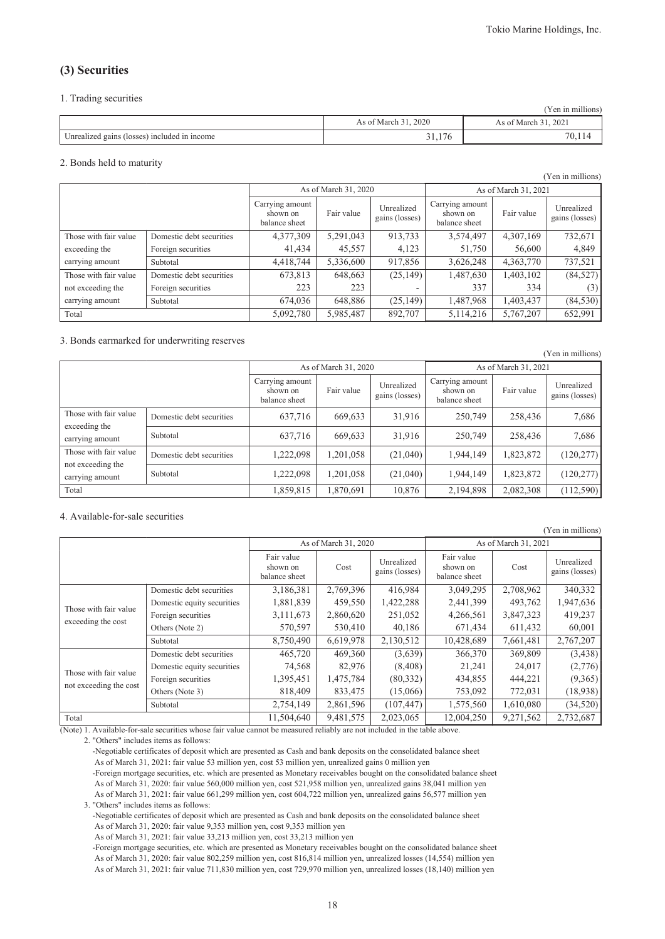### **(3) Securities**

#### 1. Trading securities

|                                              |                      | (Yen in millions)    |
|----------------------------------------------|----------------------|----------------------|
|                                              | As of March 31, 2020 | As of March 31, 2021 |
| Unrealized gains (losses) included in income | 31,176               | 70,11                |

#### 2. Bonds held to maturity

|                       |                          |                                              |                      |                              |                                              |                      | (Yen in millions)            |
|-----------------------|--------------------------|----------------------------------------------|----------------------|------------------------------|----------------------------------------------|----------------------|------------------------------|
|                       |                          |                                              | As of March 31, 2020 |                              |                                              | As of March 31, 2021 |                              |
|                       |                          | Carrying amount<br>shown on<br>balance sheet | Fair value           | Unrealized<br>gains (losses) | Carrying amount<br>shown on<br>balance sheet | Fair value           | Unrealized<br>gains (losses) |
| Those with fair value | Domestic debt securities | 4,377,309                                    | 5,291,043            | 913,733                      | 3,574,497                                    | 4,307,169            | 732,671                      |
| exceeding the         | Foreign securities       | 41,434                                       | 45,557               | 4,123                        | 51,750                                       | 56,600               | 4,849                        |
| carrying amount       | Subtotal                 | 4,418,744                                    | 5,336,600            | 917,856                      | 3,626,248                                    | 4,363,770            | 737,521                      |
| Those with fair value | Domestic debt securities | 673,813                                      | 648,663              | (25, 149)                    | 1,487,630                                    | 1,403,102            | (84, 527)                    |
| not exceeding the     | Foreign securities       | 223                                          | 223                  |                              | 337                                          | 334                  | (3)                          |
| carrying amount       | Subtotal                 | 674,036                                      | 648,886              | (25, 149)                    | 1,487,968                                    | 1,403,437            | (84, 530)                    |
| Total                 |                          | 5,092,780                                    | 5,985,487            | 892,707                      | 5,114,216                                    | 5,767,207            | 652,991                      |

#### 3. Bonds earmarked for underwriting reserves

|                                            |                          |                                              |                      |                              |                                              |                      | (Yen in millions)            |
|--------------------------------------------|--------------------------|----------------------------------------------|----------------------|------------------------------|----------------------------------------------|----------------------|------------------------------|
|                                            |                          |                                              | As of March 31, 2020 |                              |                                              | As of March 31, 2021 |                              |
|                                            |                          | Carrying amount<br>shown on<br>balance sheet | Fair value           | Unrealized<br>gains (losses) | Carrying amount<br>shown on<br>balance sheet | Fair value           | Unrealized<br>gains (losses) |
| Those with fair value                      | Domestic debt securities | 637,716                                      | 669,633              | 31,916                       | 250,749                                      | 258,436              | 7,686                        |
| exceeding the<br>carrying amount           | Subtotal                 | 637,716                                      | 669,633              | 31,916                       | 250,749                                      | 258,436              | 7,686                        |
| Those with fair value<br>not exceeding the | Domestic debt securities | 1,222,098                                    | 1,201,058            | (21,040)                     | 1,944,149                                    | 1,823,872            | (120, 277)                   |
| carrying amount                            | Subtotal                 | 1,222,098                                    | 1,201,058            | (21,040)                     | 1,944,149                                    | 1,823,872            | (120, 277)                   |
| Total                                      |                          | 1,859,815                                    | 1,870,691            | 10,876                       | 2,194,898                                    | 2,082,308            | (112, 590)                   |

#### 4. Available-for-sale securities

| (Yen in millions)                               |                            |                                         |                      |                              |                                         |                      |                              |  |  |
|-------------------------------------------------|----------------------------|-----------------------------------------|----------------------|------------------------------|-----------------------------------------|----------------------|------------------------------|--|--|
|                                                 |                            |                                         | As of March 31, 2020 |                              |                                         | As of March 31, 2021 |                              |  |  |
|                                                 |                            | Fair value<br>shown on<br>balance sheet | Cost                 | Unrealized<br>gains (losses) | Fair value<br>shown on<br>balance sheet | Cost                 | Unrealized<br>gains (losses) |  |  |
|                                                 | Domestic debt securities   | 3,186,381                               | 2,769,396            | 416,984                      | 3,049,295                               | 2,708,962            | 340,332                      |  |  |
| Those with fair value                           | Domestic equity securities | 1,881,839                               | 459,550              | 1,422,288                    | 2,441,399                               | 493,762              | 1,947,636                    |  |  |
|                                                 | Foreign securities         | 3,111,673                               | 2,860,620            | 251,052                      | 4,266,561                               | 3,847,323            | 419,237                      |  |  |
| exceeding the cost                              | Others (Note 2)            | 570,597                                 | 530,410              | 40,186                       | 671,434                                 | 611,432              | 60,001                       |  |  |
|                                                 | Subtotal                   | 8,750,490                               | 6,619,978            | 2,130,512                    | 10,428,689                              | 7,661,481            | 2,767,207                    |  |  |
|                                                 | Domestic debt securities   | 465,720                                 | 469,360              | (3,639)                      | 366,370                                 | 369,809              | (3, 438)                     |  |  |
|                                                 | Domestic equity securities | 74,568                                  | 82,976               | (8, 408)                     | 21,241                                  | 24,017               | (2,776)                      |  |  |
| Those with fair value<br>not exceeding the cost | Foreign securities         | 1,395,451                               | 1,475,784            | (80, 332)                    | 434,855                                 | 444,221              | (9,365)                      |  |  |
|                                                 | Others (Note 3)            | 818,409                                 | 833,475              | (15,066)                     | 753,092                                 | 772,031              | (18,938)                     |  |  |
|                                                 | Subtotal                   | 2,754,149                               | 2,861,596            | (107, 447)                   | 1,575,560                               | 1,610,080            | (34, 520)                    |  |  |
| Total                                           |                            | 11,504,640                              | 9,481,575            | 2,023,065                    | 12,004,250                              | 9,271,562            | 2,732,687                    |  |  |

(Note) 1. Available-for-sale securities whose fair value cannot be measured reliably are not included in the table above.

2. "Others" includes items as follows:

-Negotiable certificates of deposit which are presented as Cash and bank deposits on the consolidated balance sheet As of March 31, 2021: fair value 53 million yen, cost 53 million yen, unrealized gains 0 million yen -Foreign mortgage securities, etc. which are presented as Monetary receivables bought on the consolidated balance sheet

 As of March 31, 2020: fair value 560,000 million yen, cost 521,958 million yen, unrealized gains 38,041 million yen As of March 31, 2021: fair value 661,299 million yen, cost 604,722 million yen, unrealized gains 56,577 million yen 3. "Others" includes items as follows:

-Negotiable certificates of deposit which are presented as Cash and bank deposits on the consolidated balance sheet As of March 31, 2020: fair value 9,353 million yen, cost 9,353 million yen

As of March 31, 2021: fair value 33,213 million yen, cost 33,213 million yen

-Foreign mortgage securities, etc. which are presented as Monetary receivables bought on the consolidated balance sheet As of March 31, 2020: fair value 802,259 million yen, cost 816,814 million yen, unrealized losses (14,554) million yen As of March 31, 2021: fair value 711,830 million yen, cost 729,970 million yen, unrealized losses (18,140) million yen